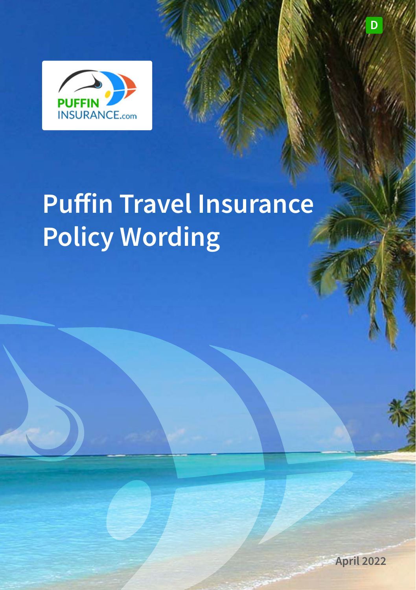

# **Puffin Travel Insurance Policy Wording**



**D**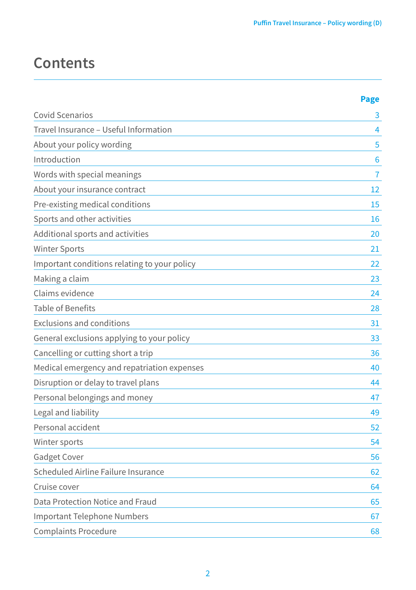## **Contents**

|                                              | <b>Page</b> |
|----------------------------------------------|-------------|
| Covid Scenarios                              | 3           |
| Travel Insurance - Useful Information        | 4           |
| About your policy wording                    | 5           |
| Introduction                                 | 6           |
| Words with special meanings                  | 7           |
| About your insurance contract                | 12          |
| Pre-existing medical conditions              | 15          |
| Sports and other activities                  | 16          |
| Additional sports and activities             | 20          |
| Winter Sports                                | 21          |
| Important conditions relating to your policy | 22          |
| Making a claim                               | 23          |
| Claims evidence                              | 24          |
| <b>Table of Benefits</b>                     | 28          |
| <b>Exclusions and conditions</b>             | 31          |
| General exclusions applying to your policy   | 33          |
| Cancelling or cutting short a trip           | 36          |
| Medical emergency and repatriation expenses  | 40          |
| Disruption or delay to travel plans          | 44          |
| Personal belongings and money                | 47          |
| Legal and liability                          | 49          |
| Personal accident                            | 52          |
| Winter sports                                | 54          |
| Gadget Cover                                 | 56          |
| Scheduled Airline Failure Insurance          | 62          |
| Cruise cover                                 | 64          |
| Data Protection Notice and Fraud             | 65          |
| Important Telephone Numbers                  | 67          |
| Complaints Procedure                         | 68          |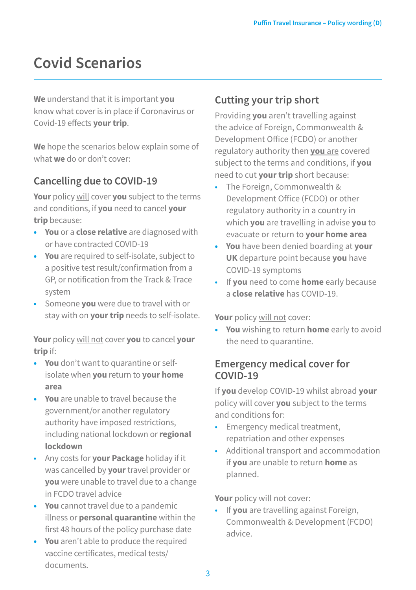## **Covid Scenarios**

**We** understand that it is important **you** know what cover is in place if Coronavirus or Covid-19 effects **your trip**.

**We** hope the scenarios below explain some of what **we** do or don't cover:

## **Cancelling due to COVID-19**

**Your** policy will cover **you** subject to the terms and conditions, if **you** need to cancel **your trip** because:

- **• You** or a **close relative** are diagnosed with or have contracted COVID-19
- **• You** are required to self-isolate, subject to a positive test result/confirmation from a GP, or notification from the Track & Trace system
- Someone **you** were due to travel with or stay with on **your trip** needs to self-isolate.

**Your** policy will not cover **you** to cancel **your trip** if:

- **• You** don't want to quarantine or selfisolate when **you** return to **your home area**
- **• You** are unable to travel because the government/or another regulatory authority have imposed restrictions, including national lockdown or **regional lockdown**
- Any costs for **your Package** holiday if it was cancelled by **your** travel provider or **you** were unable to travel due to a change in FCDO travel advice
- **• You** cannot travel due to a pandemic illness or **personal quarantine** within the first 48 hours of the policy purchase date
- **• You** aren't able to produce the required vaccine certificates, medical tests/ documents.

## **Cutting your trip short**

Providing **you** aren't travelling against the advice of Foreign, Commonwealth & Development Office (FCDO) or another regulatory authority then **you** are covered subject to the terms and conditions, if **you** need to cut **your trip** short because:

- The Foreign, Commonwealth & Development Office (FCDO) or other regulatory authority in a country in which **you** are travelling in advise **you** to evacuate or return to **your home area**
- **• You** have been denied boarding at **your UK** departure point because **you** have COVID-19 symptoms
- If **you** need to come **home** early because a **close relative** has COVID-19.

**Your** policy will not cover:

**• You** wishing to return **home** early to avoid the need to quarantine.

### **Emergency medical cover for COVID-19**

If **you** develop COVID-19 whilst abroad **your**  policy will cover **you** subject to the terms and conditions for:

- Emergency medical treatment. repatriation and other expenses
- Additional transport and accommodation if **you** are unable to return **home** as planned.

**Your** policy will not cover:

• If **you** are travelling against Foreign, Commonwealth & Development (FCDO) advice.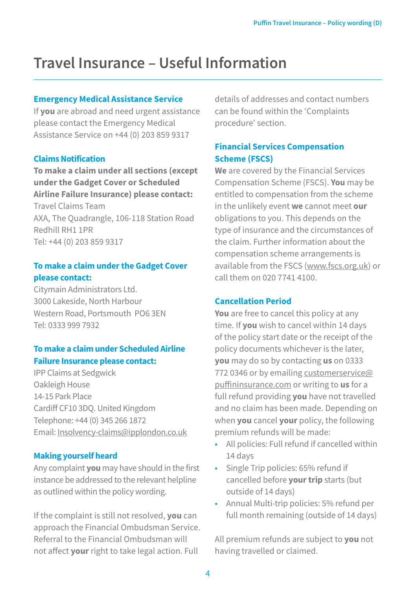## **Travel Insurance – Useful Information**

#### **Emergency Medical Assistance Service**

If **you** are abroad and need urgent assistance please contact the Emergency Medical Assistance Service on +44 (0) 203 859 9317

#### **Claims Notification**

**To make a claim under all sections (except under the Gadget Cover or Scheduled Airline Failure Insurance) please contact:**  Travel Claims Team AXA, The Quadrangle, 106-118 Station Road Redhill RH1 1PR Tel: +44 (0) 203 859 9317

#### **To make a claim under the Gadget Cover please contact:**

Citymain Administrators Ltd. 3000 Lakeside, North Harbour Western Road, Portsmouth PO6 3EN Tel: 0333 999 7932

#### **To make a claim under Scheduled Airline Failure Insurance please contact:**

IPP Claims at Sedgwick Oakleigh House 14-15 Park Place Cardiff CF10 3DQ. United Kingdom Telephone: +44 (0) 345 266 1872 Email: [Insolvency-claims@ipplondon.co.uk](mailto:Insolvency-claims@ipplondon.co.uk)

#### **Making yourself heard**

Any complaint **you** may have should in the first instance be addressed to the relevant helpline as outlined within the policy wording.

If the complaint is still not resolved, **you** can approach the Financial Ombudsman Service. Referral to the Financial Ombudsman will not affect **your** right to take legal action. Full

details of addresses and contact numbers can be found within the 'Complaints procedure' section.

#### **Financial Services Compensation Scheme (FSCS)**

**We** are covered by the Financial Services Compensation Scheme (FSCS). **You** may be entitled to compensation from the scheme in the unlikely event **we** cannot meet **our** obligations to you. This depends on the type of insurance and the circumstances of the claim. Further information about the compensation scheme arrangements is available from the FSCS (www.fscs.org.uk) or call them on 020 7741 4100.

#### **Cancellation Period**

**You** are free to cancel this policy at any time. If **you** wish to cancel within 14 days of the policy start date or the receipt of the policy documents whichever is the later, **you** may do so by contacting **us** on 0333 772 0346 or by emailing customerservice@ puffininsurance.com or writing to **us** for a full refund providing **you** have not travelled and no claim has been made. Depending on when **you** cancel **your** policy, the following premium refunds will be made:

- All policies: Full refund if cancelled within 14 days
- Single Trip policies: 65% refund if cancelled before **your trip** starts (but outside of 14 days)
- Annual Multi-trip policies: 5% refund per full month remaining (outside of 14 days)

All premium refunds are subject to **you** not having travelled or claimed.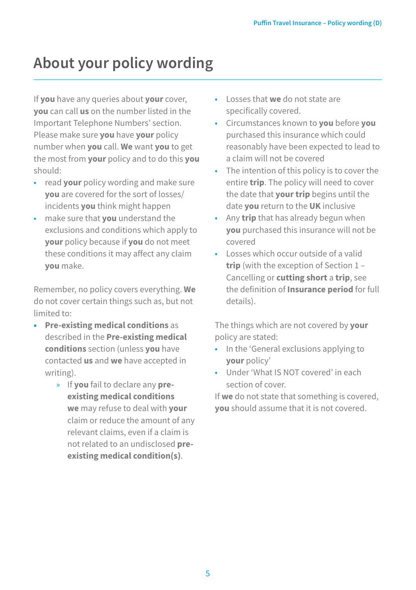## **About your policy wording**

If **you** have any queries about **your** cover, **you** can call **us** on the number listed in the Important Telephone Numbers' section. Please make sure **you** have **your** policy number when **you** call. **We** want **you** to get the most from **your** policy and to do this **you**  should:

- read **your** policy wording and make sure **you** are covered for the sort of losses/ incidents **you** think might happen
- make sure that **you** understand the exclusions and conditions which apply to **your** policy because if **you** do not meet these conditions it may affect any claim **you** make.

Remember, no policy covers everything. **We**  do not cover certain things such as, but not limited to:

- **• Pre-existing medical conditions** as described in the **Pre-existing medical conditions** section (unless **you** have contacted **us** and **we** have accepted in writing).
	- » If **you** fail to declare any **preexisting medical conditions we** may refuse to deal with **your**  claim or reduce the amount of any relevant claims, even if a claim is not related to an undisclosed **preexisting medical condition(s)**.
- Losses that **we** do not state are specifically covered.
- Circumstances known to **you** before **you**  purchased this insurance which could reasonably have been expected to lead to a claim will not be covered
- The intention of this policy is to cover the entire **trip**. The policy will need to cover the date that **your trip** begins until the date **you** return to the **UK** inclusive
- Any **trip** that has already begun when **you** purchased this insurance will not be covered
- Losses which occur outside of a valid **trip** (with the exception of Section 1 – Cancelling or **cutting short** a **trip**, see the definition of **Insurance period** for full details).

The things which are not covered by **your**  policy are stated:

- In the 'General exclusions applying to **your** policy'
- Under 'What IS NOT covered' in each section of cover.

If **we** do not state that something is covered, **you** should assume that it is not covered.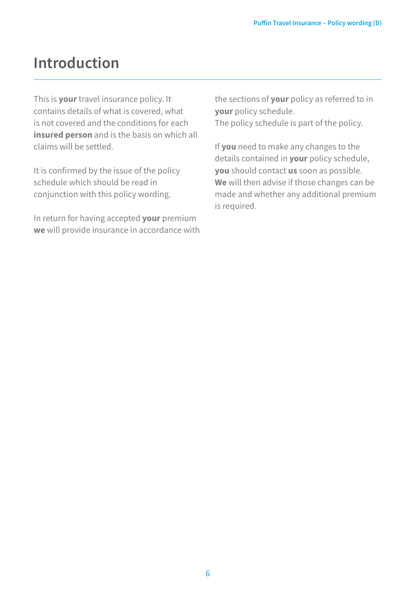## **Introduction**

This is **your** travel insurance policy. It contains details of what is covered, what is not covered and the conditions for each **insured person** and is the basis on which all claims will be settled.

It is confirmed by the issue of the policy schedule which should be read in conjunction with this policy wording.

In return for having accepted **your** premium **we** will provide insurance in accordance with the sections of **your** policy as referred to in **your** policy schedule. The policy schedule is part of the policy.

If **you** need to make any changes to the details contained in **your** policy schedule, **you** should contact **us** soon as possible. **We** will then advise if those changes can be made and whether any additional premium is required.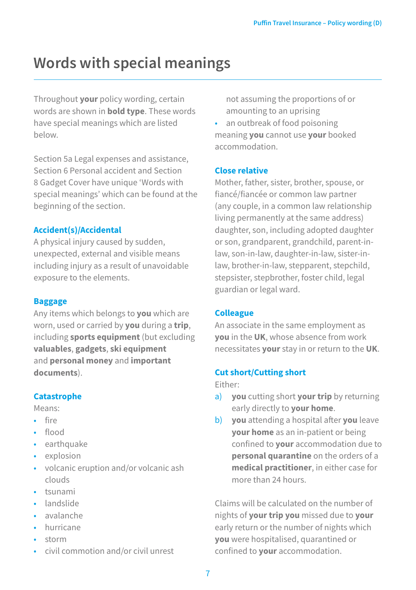## **Words with special meanings**

Throughout **your** policy wording, certain words are shown in **bold type**. These words have special meanings which are listed below.

Section 5a Legal expenses and assistance, Section 6 Personal accident and Section 8 Gadget Cover have unique 'Words with special meanings' which can be found at the beginning of the section.

#### **Accident(s)/Accidental**

A physical injury caused by sudden, unexpected, external and visible means including injury as a result of unavoidable exposure to the elements.

#### **Baggage**

Any items which belongs to **you** which are worn, used or carried by **you** during a **trip**, including **sports equipment** (but excluding **valuables**, **gadgets**, **ski equipment** and **personal money** and **important documents**).

#### **Catastrophe**

Means:

- fire
- flood
- earthquake
- explosion
- volcanic eruption and/or volcanic ash clouds
- tsunami
- landslide
- avalanche
- hurricane
- storm
- civil commotion and/or civil unrest

not assuming the proportions of or amounting to an uprising

• an outbreak of food poisoning meaning **you** cannot use **your** booked accommodation.

#### **Close relative**

Mother, father, sister, brother, spouse, or fiancé/fiancée or common law partner (any couple, in a common law relationship living permanently at the same address) daughter, son, including adopted daughter or son, grandparent, grandchild, parent-inlaw, son-in-law, daughter-in-law, sister-inlaw, brother-in-law, stepparent, stepchild, stepsister, stepbrother, foster child, legal guardian or legal ward.

#### **Colleague**

An associate in the same employment as **you** in the **UK**, whose absence from work necessitates **your** stay in or return to the **UK**.

#### **Cut short/Cutting short**

Either:

- a) **you** cutting short **your trip** by returning early directly to **your home**.
- b) **you** attending a hospital after **you** leave **your home** as an in-patient or being confined to **your** accommodation due to **personal quarantine** on the orders of a **medical practitioner**, in either case for more than 24 hours.

Claims will be calculated on the number of nights of **your trip you** missed due to **your** early return or the number of nights which **you** were hospitalised, quarantined or confined to **your** accommodation.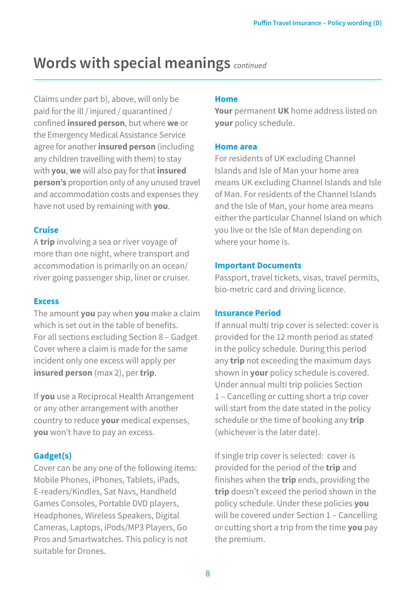Claims under part b), above, will only be paid for the ill / injured / quarantined / confined **insured person**, but where **we** or the Emergency Medical Assistance Service agree for another **insured person** (including any children travelling with them) to stay with **you**, **we** will also pay for that **insured person's** proportion only of any unused travel and accommodation costs and expenses they have not used by remaining with **you**.

#### **Cruise**

A **trip** involving a sea or river voyage of more than one night, where transport and accommodation is primarily on an ocean/ river going passenger ship, liner or cruiser.

#### **Excess**

The amount **you** pay when **you** make a claim which is set out in the table of benefits. For all sections excluding Section 8 – Gadget Cover where a claim is made for the same incident only one excess will apply per **insured person** (max 2), per **trip**.

If **you** use a Reciprocal Health Arrangement or any other arrangement with another country to reduce **your** medical expenses, **you** won't have to pay an excess.

#### **Gadget(s)**

Cover can be any one of the following items: Mobile Phones, iPhones, Tablets, iPads, E-readers/Kindles, Sat Navs, Handheld Games Consoles, Portable DVD players, Headphones, Wireless Speakers, Digital Cameras, Laptops, iPods/MP3 Players, Go Pros and Smartwatches. This policy is not suitable for Drones.

#### **Home**

**Your** permanent **UK** home address listed on **your** policy schedule.

#### **Home area**

For residents of UK excluding Channel Islands and Isle of Man your home area means UK excluding Channel Islands and Isle of Man. For residents of the Channel Islands and the Isle of Man, your home area means either the particular Channel Island on which you live or the Isle of Man depending on where your home is.

#### **Important Documents**

Passport, travel tickets, visas, travel permits, bio-metric card and driving licence.

#### **Insurance Period**

If annual multi trip cover is selected: cover is provided for the 12 month period as stated in the policy schedule. During this period any **trip** not exceeding the maximum days shown in **your** policy schedule is covered. Under annual multi trip policies Section 1 – Cancelling or cutting short a trip cover will start from the date stated in the policy schedule or the time of booking any **trip** (whichever is the later date).

If single trip cover is selected: cover is provided for the period of the **trip** and finishes when the **trip** ends, providing the **trip** doesn't exceed the period shown in the policy schedule. Under these policies **you**  will be covered under Section 1 – Cancelling or cutting short a trip from the time **you** pay the premium.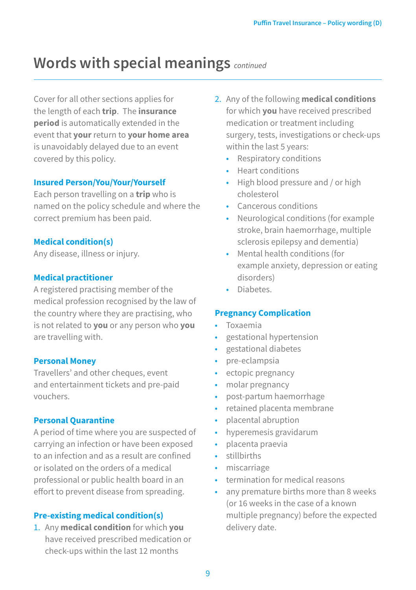Cover for all other sections applies for the length of each **trip**. The **insurance period** is automatically extended in the event that **your** return to **your home area** is unavoidably delayed due to an event covered by this policy.

#### **Insured Person/You/Your/Yourself**

Each person travelling on a **trip** who is named on the policy schedule and where the correct premium has been paid.

#### **Medical condition(s)**

Any disease, illness or injury.

#### **Medical practitioner**

A registered practising member of the medical profession recognised by the law of the country where they are practising, who is not related to **you** or any person who **you**  are travelling with.

#### **Personal Money**

Travellers' and other cheques, event and entertainment tickets and pre-paid vouchers.

#### **Personal Quarantine**

A period of time where you are suspected of carrying an infection or have been exposed to an infection and as a result are confined or isolated on the orders of a medical professional or public health board in an effort to prevent disease from spreading.

#### **Pre-existing medical condition(s)**

1. Any **medical condition** for which **you**  have received prescribed medication or check-ups within the last 12 months

- 2. Any of the following **medical conditions**  for which **you** have received prescribed medication or treatment including surgery, tests, investigations or check-ups within the last 5 years:
	- Respiratory conditions
	- Heart conditions
	- High blood pressure and / or high cholesterol
	- Cancerous conditions
	- Neurological conditions (for example stroke, brain haemorrhage, multiple sclerosis epilepsy and dementia)
	- Mental health conditions (for example anxiety, depression or eating disorders)
	- Diabetes.

#### **Pregnancy Complication**

- Toxaemia
- gestational hypertension
- gestational diabetes
- pre-eclampsia
- ectopic pregnancy
- molar pregnancy
- post-partum haemorrhage
- retained placenta membrane
- placental abruption
- hyperemesis gravidarum
- placenta praevia
- stillbirths
- miscarriage
- termination for medical reasons
- any premature births more than 8 weeks (or 16 weeks in the case of a known multiple pregnancy) before the expected delivery date.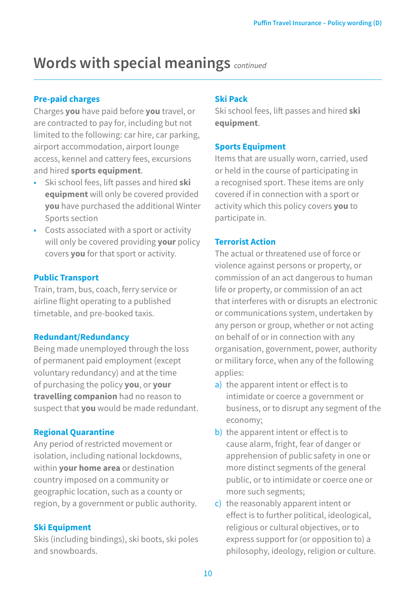#### **Pre-paid charges**

Charges **you** have paid before **you** travel, or are contracted to pay for, including but not limited to the following: car hire, car parking, airport accommodation, airport lounge access, kennel and cattery fees, excursions and hired **sports equipment**.

- Ski school fees, lift passes and hired **ski equipment** will only be covered provided **you** have purchased the additional Winter Sports section
- Costs associated with a sport or activity will only be covered providing **your** policy covers **you** for that sport or activity.

#### **Public Transport**

Train, tram, bus, coach, ferry service or airline flight operating to a published timetable, and pre-booked taxis.

#### **Redundant/Redundancy**

Being made unemployed through the loss of permanent paid employment (except voluntary redundancy) and at the time of purchasing the policy **you**, or **your travelling companion** had no reason to suspect that **you** would be made redundant.

#### **Regional Quarantine**

Any period of restricted movement or isolation, including national lockdowns, within **your home area** or destination country imposed on a community or geographic location, such as a county or region, by a government or public authority.

#### **Ski Equipment**

Skis (including bindings), ski boots, ski poles and snowboards.

#### **Ski Pack**

Ski school fees, lift passes and hired **ski equipment**.

#### **Sports Equipment**

Items that are usually worn, carried, used or held in the course of participating in a recognised sport. These items are only covered if in connection with a sport or activity which this policy covers **you** to participate in.

#### **Terrorist Action**

The actual or threatened use of force or violence against persons or property, or commission of an act dangerous to human life or property, or commission of an act that interferes with or disrupts an electronic or communications system, undertaken by any person or group, whether or not acting on behalf of or in connection with any organisation, government, power, authority or military force, when any of the following applies:

- a) the apparent intent or effect is to intimidate or coerce a government or business, or to disrupt any segment of the economy;
- b) the apparent intent or effect is to cause alarm, fright, fear of danger or apprehension of public safety in one or more distinct segments of the general public, or to intimidate or coerce one or more such segments;
- c) the reasonably apparent intent or effect is to further political, ideological, religious or cultural objectives, or to express support for (or opposition to) a philosophy, ideology, religion or culture.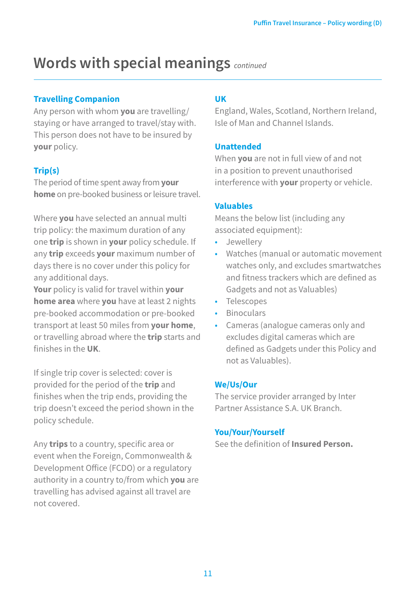#### **Travelling Companion**

Any person with whom **you** are travelling/ staying or have arranged to travel/stay with. This person does not have to be insured by **your** policy.

### **Trip(s)**

The period of time spent away from **your home** on pre-booked business or leisure travel.

Where **you** have selected an annual multi trip policy: the maximum duration of any one **trip** is shown in **your** policy schedule. If any **trip** exceeds **your** maximum number of days there is no cover under this policy for any additional days.

**Your** policy is valid for travel within **your home area** where **you** have at least 2 nights pre-booked accommodation or pre-booked transport at least 50 miles from **your home**, or travelling abroad where the **trip** starts and finishes in the **UK**.

If single trip cover is selected: cover is provided for the period of the **trip** and finishes when the trip ends, providing the trip doesn't exceed the period shown in the policy schedule.

Any **trips** to a country, specific area or event when the Foreign, Commonwealth & Development Office (FCDO) or a regulatory authority in a country to/from which **you** are travelling has advised against all travel are not covered.

#### **UK**

England, Wales, Scotland, Northern Ireland, Isle of Man and Channel Islands.

#### **Unattended**

When **you** are not in full view of and not in a position to prevent unauthorised interference with **your** property or vehicle.

#### **Valuables**

Means the below list (including any associated equipment):

- Jewellery
- Watches (manual or automatic movement watches only, and excludes smartwatches and fitness trackers which are defined as Gadgets and not as Valuables)
- Telescopes
- Binoculars
- Cameras (analogue cameras only and excludes digital cameras which are defined as Gadgets under this Policy and not as Valuables).

#### **We/Us/Our**

The service provider arranged by Inter Partner Assistance S.A. UK Branch.

#### **You/Your/Yourself**

See the definition of **Insured Person.**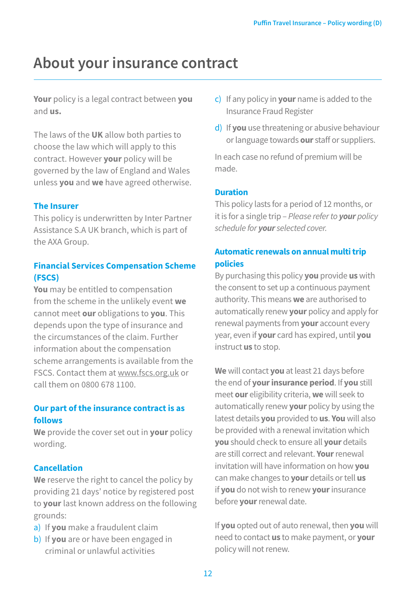## **About your insurance contract**

**Your** policy is a legal contract between **you**  and **us.**

The laws of the **UK** allow both parties to choose the law which will apply to this contract. However **your** policy will be governed by the law of England and Wales unless **you** and **we** have agreed otherwise.

#### **The Insurer**

This policy is underwritten by Inter Partner Assistance S.A UK branch, which is part of the AXA Group.

#### **Financial Services Compensation Scheme (FSCS)**

**You** may be entitled to compensation from the scheme in the unlikely event **we** cannot meet **our** obligations to **you**. This depends upon the type of insurance and the circumstances of the claim. Further information about the compensation scheme arrangements is available from the FSCS. Contact them at www.fscs.org.uk or call them on 0800 678 1100.

#### **Our part of the insurance contract is as follows**

**We** provide the cover set out in **your** policy wording.

#### **Cancellation**

**We** reserve the right to cancel the policy by providing 21 days' notice by registered post to **your** last known address on the following grounds:

- a) If **you** make a fraudulent claim
- b) If **you** are or have been engaged in criminal or unlawful activities
- c) If any policy in **your** name is added to the Insurance Fraud Register
- d) If **you** use threatening or abusive behaviour or language towards **our** staff or suppliers.

In each case no refund of premium will be made.

#### **Duration**

This policy lasts for a period of 12 months, or it is for a single trip – *Please refer to your policy schedule for your selected cover.*

### **Automatic renewals on annual multi trip policies**

By purchasing this policy **you** provide **us** with the consent to set up a continuous payment authority. This means **we** are authorised to automatically renew **your** policy and apply for renewal payments from **your** account every year, even if **your** card has expired, until **you** instruct **us** to stop.

**We** will contact **you** at least 21 days before the end of **your insurance period**. If **you** still meet **our** eligibility criteria, **we** will seek to automatically renew **your** policy by using the latest details **you** provided to **us**. **You** will also be provided with a renewal invitation which **you** should check to ensure all **your** details are still correct and relevant. **Your** renewal invitation will have information on how **you**  can make changes to **your** details or tell **us** if **you** do not wish to renew **your** insurance before **your** renewal date.

If **you** opted out of auto renewal, then **you** will need to contact **us** to make payment, or **your** policy will not renew.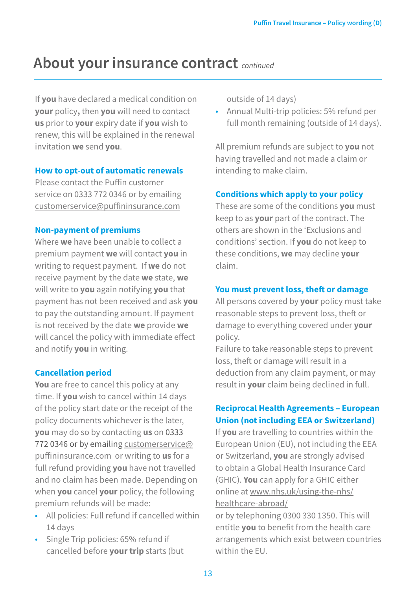## **About your insurance contract** *continued*

If **you** have declared a medical condition on **your** policy**,** then **you** will need to contact **us** prior to **your** expiry date if **you** wish to renew, this will be explained in the renewal invitation **we** send **you**.

#### **How to opt-out of automatic renewals**

Please contact the Puffin customer service on 0333 772 0346 or by emailing [customerservice@puffininsurance.com](mailto:directsales@coverforyou.co.uk)

#### **Non-payment of premiums**

Where **we** have been unable to collect a premium payment **we** will contact **you** in writing to request payment. If **we** do not receive payment by the date **we** state, **we**  will write to **you** again notifying **you** that payment has not been received and ask **you** to pay the outstanding amount. If payment is not received by the date **we** provide **we**  will cancel the policy with immediate effect and notify **you** in writing.

#### **Cancellation period**

**You** are free to cancel this policy at any time. If **you** wish to cancel within 14 days of the policy start date or the receipt of the policy documents whichever is the later, **you** may do so by contacting **us** on 0333 772 0346 or by emailing [customerservice@](mailto:directsales@coverforyou.co.uk) [puffininsurance.com](mailto:directsales@coverforyou.co.uk) or writing to **us** for a full refund providing **you** have not travelled and no claim has been made. Depending on when **you** cancel **your** policy, the following premium refunds will be made:

- All policies: Full refund if cancelled within 14 days
- Single Trip policies: 65% refund if cancelled before **your trip** starts (but

outside of 14 days)

• Annual Multi-trip policies: 5% refund per full month remaining (outside of 14 days).

All premium refunds are subject to **you** not having travelled and not made a claim or intending to make claim.

#### **Conditions which apply to your policy**

These are some of the conditions **you** must keep to as **your** part of the contract. The others are shown in the 'Exclusions and conditions' section. If **you** do not keep to these conditions, **we** may decline **your**  claim.

#### **You must prevent loss, theft or damage**

All persons covered by **your** policy must take reasonable steps to prevent loss, theft or damage to everything covered under **your**  policy.

Failure to take reasonable steps to prevent loss, theft or damage will result in a deduction from any claim payment, or may result in **your** claim being declined in full.

#### **Reciprocal Health Agreements – European Union (not including EEA or Switzerland)**

If **you** are travelling to countries within the European Union (EU), not including the EEA or Switzerland, **you** are strongly advised to obtain a Global Health Insurance Card (GHIC). **You** can apply for a GHIC either online at [www.nhs.uk/using-the-nhs/](http://www.nhs.uk/using-the-nhs/healthcare-abroad/) [healthcare-abroad/](http://www.nhs.uk/using-the-nhs/healthcare-abroad/)

or by telephoning 0300 330 1350. This will entitle **you** to benefit from the health care arrangements which exist between countries within the EU.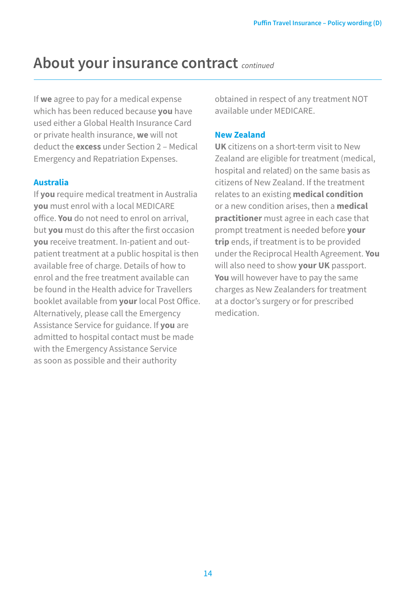## **About your insurance contract** *continued*

If **we** agree to pay for a medical expense which has been reduced because **you** have used either a Global Health Insurance Card or private health insurance, **we** will not deduct the **excess** under Section 2 – Medical Emergency and Repatriation Expenses.

#### **Australia**

If **you** require medical treatment in Australia **you** must enrol with a local MEDICARE office. **You** do not need to enrol on arrival, but **you** must do this after the first occasion **you** receive treatment. In-patient and outpatient treatment at a public hospital is then available free of charge. Details of how to enrol and the free treatment available can be found in the Health advice for Travellers booklet available from **your** local Post Office. Alternatively, please call the Emergency Assistance Service for guidance. If **you** are admitted to hospital contact must be made with the Emergency Assistance Service as soon as possible and their authority

obtained in respect of any treatment NOT available under MEDICARE.

#### **New Zealand**

**UK** citizens on a short-term visit to New Zealand are eligible for treatment (medical, hospital and related) on the same basis as citizens of New Zealand. If the treatment relates to an existing **medical condition** or a new condition arises, then a **medical practitioner** must agree in each case that prompt treatment is needed before **your trip** ends, if treatment is to be provided under the Reciprocal Health Agreement. **You**  will also need to show **your UK** passport. **You** will however have to pay the same charges as New Zealanders for treatment at a doctor's surgery or for prescribed medication.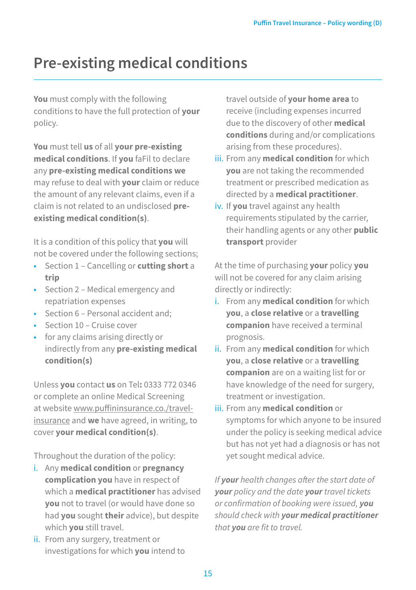## **Pre-existing medical conditions**

**You** must comply with the following conditions to have the full protection of **your** policy.

**You** must tell **us** of all **your pre-existing medical conditions**. If **you** faFil to declare any **pre-existing medical conditions we**  may refuse to deal with **your** claim or reduce the amount of any relevant claims, even if a claim is not related to an undisclosed **preexisting medical condition(s)**.

It is a condition of this policy that **you** will not be covered under the following sections;

- Section 1 Cancelling or **cutting short** a **trip**
- Section 2 Medical emergency and repatriation expenses
- Section 6 Personal accident and;
- Section 10 Cruise cover
- for any claims arising directly or indirectly from any **pre-existing medical condition(s)**

Unless **you** contact **us** on Tel**:** 0333 772 0346 or complete an online Medical Screening at website [www.puffininsurance.co./travel](http://www.puffininsurance.co./travel-insurance)[insurance](http://www.puffininsurance.co./travel-insurance) and **we** have agreed, in writing, to cover **your medical condition(s)**.

Throughout the duration of the policy:

- i. Any **medical condition** or **pregnancy complication you** have in respect of which a **medical practitioner** has advised **you** not to travel (or would have done so had **you** sought **their** advice), but despite which **you** still travel.
- ii. From any surgery, treatment or investigations for which **you** intend to

travel outside of **your home area** to receive (including expenses incurred due to the discovery of other **medical conditions** during and/or complications arising from these procedures).

- iii. From any **medical condition** for which **you** are not taking the recommended treatment or prescribed medication as directed by a **medical practitioner**.
- iv. If **you** travel against any health requirements stipulated by the carrier, their handling agents or any other **public transport** provider

At the time of purchasing **your** policy **you**  will not be covered for any claim arising directly or indirectly:

- i. From any **medical condition** for which **you**, a **close relative** or a **travelling companion** have received a terminal prognosis.
- ii. From any **medical condition** for which **you**, a **close relative** or a **travelling companion** are on a waiting list for or have knowledge of the need for surgery, treatment or investigation.
- iii. From any **medical condition** or symptoms for which anyone to be insured under the policy is seeking medical advice but has not yet had a diagnosis or has not yet sought medical advice.

*If your health changes after the start date of your policy and the date your travel tickets or confirmation of booking were issued, you should check with your medical practitioner that you are fit to travel.*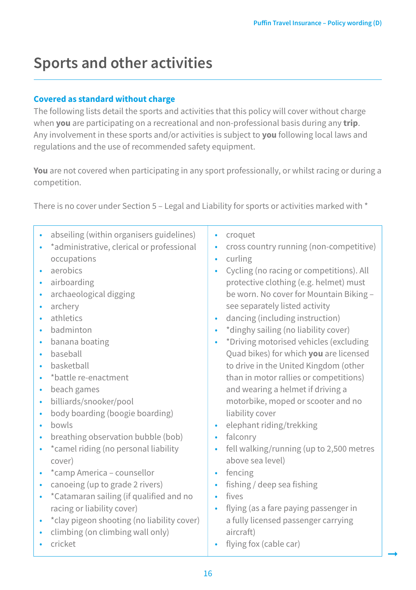➞

## **Sports and other activities**

#### **Covered as standard without charge**

The following lists detail the sports and activities that this policy will cover without charge when **you** are participating on a recreational and non-professional basis during any **trip**. Any involvement in these sports and/or activities is subject to **you** following local laws and regulations and the use of recommended safety equipment.

**You** are not covered when participating in any sport professionally, or whilst racing or during a competition.

There is no cover under Section 5 – Legal and Liability for sports or activities marked with \*

• abseiling (within organisers guidelines) • \*administrative, clerical or professional occupations • aerobics • airboarding • archaeological digging • archery • athletics • badminton • banana boating • baseball • basketball • \*battle re-enactment • beach games • billiards/snooker/pool • body boarding (boogie boarding) • bowls • breathing observation bubble (bob) • \*camel riding (no personal liability cover) • \*camp America – counsellor • canoeing (up to grade 2 rivers) • \*Catamaran sailing (if qualified and no racing or liability cover) • \*clay pigeon shooting (no liability cover) • climbing (on climbing wall only) • cricket • croquet • cross country running (non-competitive) • curling • Cycling (no racing or competitions). All protective clothing (e.g. helmet) must be worn. No cover for Mountain Biking – see separately listed activity • dancing (including instruction) • \*dinghy sailing (no liability cover) • \*Driving motorised vehicles (excluding Quad bikes) for which **you** are licensed to drive in the United Kingdom (other than in motor rallies or competitions) and wearing a helmet if driving a motorbike, moped or scooter and no liability cover • elephant riding/trekking • falconry • fell walking/running (up to 2,500 metres above sea level) • fencing • fishing / deep sea fishing • fives • flying (as a fare paying passenger in a fully licensed passenger carrying aircraft) • flying fox (cable car)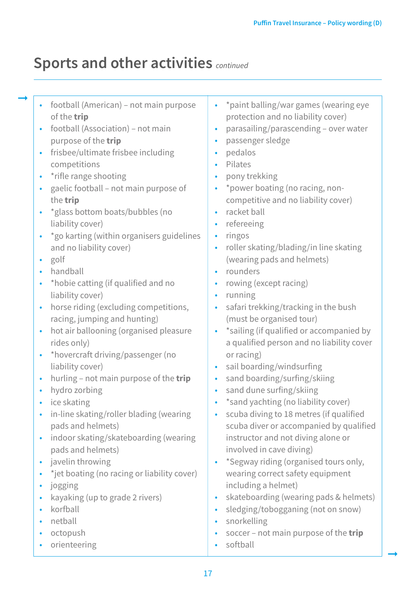## **Sports and other activities** *continued*

- football (American) not main purpose of the **trip**
- football (Association) not main purpose of the **trip**
- frisbee/ultimate frisbee including competitions
- \*rifle range shooting
- gaelic football not main purpose of the **trip**
- \*glass bottom boats/bubbles (no liability cover)
- \*go karting (within organisers guidelines and no liability cover)
- golf

➞

- handball
- \*hobie catting (if qualified and no liability cover)
- horse riding (excluding competitions, racing, jumping and hunting)
- hot air ballooning (organised pleasure rides only)
- \*hovercraft driving/passenger (no liability cover)
- hurling not main purpose of the **trip**
- hydro zorbing
- ice skating
- in-line skating/roller blading (wearing pads and helmets)
- indoor skating/skateboarding (wearing pads and helmets)
- javelin throwing
- \* jet boating (no racing or liability cover)
- jogging
- kayaking (up to grade 2 rivers)
- korfball
- netball
- octopush
- orienteering
- \*paint balling/war games (wearing eye protection and no liability cover)
- parasailing/parascending over water
- passenger sledge
- pedalos
- Pilates
- pony trekking
- \* power boating (no racing, noncompetitive and no liability cover)
- racket ball
- refereeing
- ringos
- roller skating/blading/in line skating (wearing pads and helmets)
- rounders
- rowing (except racing)
- running
- safari trekking/tracking in the bush (must be organised tour)
- \*sailing (if qualified or accompanied by a qualified person and no liability cover or racing)
- sail boarding/windsurfing
- sand boarding/surfing/skiing
- sand dune surfing/skiing
- \*sand yachting (no liability cover)
- scuba diving to 18 metres (if qualified scuba diver or accompanied by qualified instructor and not diving alone or involved in cave diving)
- \*Segway riding (organised tours only, wearing correct safety equipment including a helmet)
- skateboarding (wearing pads & helmets)
- sledging/tobogganing (not on snow)
- snorkelling
- soccer not main purpose of the **trip**

➞

• softball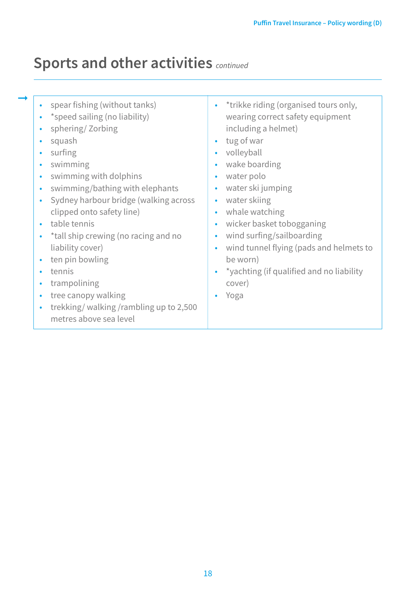## **Sports and other activities** *continued*

➞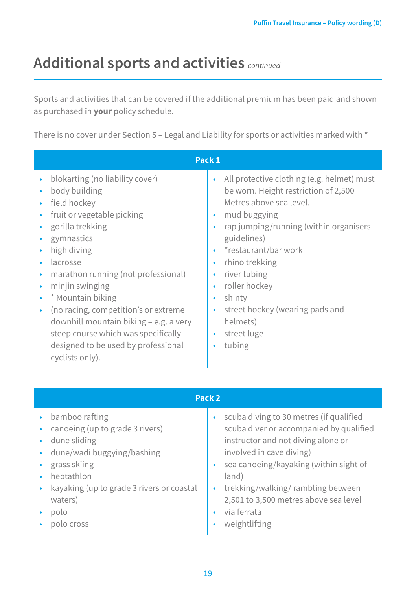## **Additional sports and activities** *continued*

Sports and activities that can be covered if the additional premium has been paid and shown as purchased in **your** policy schedule.

There is no cover under Section 5 - Legal and Liability for sports or activities marked with \*

| Pack 1                                                                                                                                                                                                                                                                                                                                                                                                                                                                                                                       |                                                                                                                                                                                                                                                                                                                                                                                   |  |  |
|------------------------------------------------------------------------------------------------------------------------------------------------------------------------------------------------------------------------------------------------------------------------------------------------------------------------------------------------------------------------------------------------------------------------------------------------------------------------------------------------------------------------------|-----------------------------------------------------------------------------------------------------------------------------------------------------------------------------------------------------------------------------------------------------------------------------------------------------------------------------------------------------------------------------------|--|--|
| blokarting (no liability cover)<br>٠<br>body building<br>٠<br>field hockey<br>$\bullet$<br>fruit or vegetable picking<br>$\bullet$<br>gorilla trekking<br>$\bullet$<br>gymnastics<br>$\bullet$<br>high diving<br>$\bullet$<br>lacrosse<br>marathon running (not professional)<br>٠<br>minjin swinging<br>٠<br>* Mountain biking<br>٠<br>(no racing, competition's or extreme<br>٠<br>downhill mountain biking – e.g. a very<br>steep course which was specifically<br>designed to be used by professional<br>cyclists only). | All protective clothing (e.g. helmet) must<br>٠<br>be worn. Height restriction of 2,500<br>Metres above sea level.<br>mud buggying<br>٠<br>rap jumping/running (within organisers<br>guidelines)<br>*restaurant/bar work<br>٠<br>rhino trekking<br>٠<br>river tubing<br>roller hockey<br>٠<br>shinty<br>٠<br>street hockey (wearing pads and<br>helmets)<br>street luge<br>tubing |  |  |

| Pack <sub>2</sub>                                                                               |  |                                                                                                                                                      |  |
|-------------------------------------------------------------------------------------------------|--|------------------------------------------------------------------------------------------------------------------------------------------------------|--|
| bamboo rafting<br>canoeing (up to grade 3 rivers)<br>dune sliding<br>dune/wadi buggying/bashing |  | scuba diving to 30 metres (if qualified<br>scuba diver or accompanied by qualified<br>instructor and not diving alone or<br>involved in cave diving) |  |
| grass skiing<br>heptathlon<br>kayaking (up to grade 3 rivers or coastal                         |  | sea canoeing/kayaking (within sight of<br>land)<br>trekking/walking/rambling between                                                                 |  |
| waters)<br>polo<br>polo cross                                                                   |  | 2,501 to 3,500 metres above sea level<br>via ferrata<br>weightlifting                                                                                |  |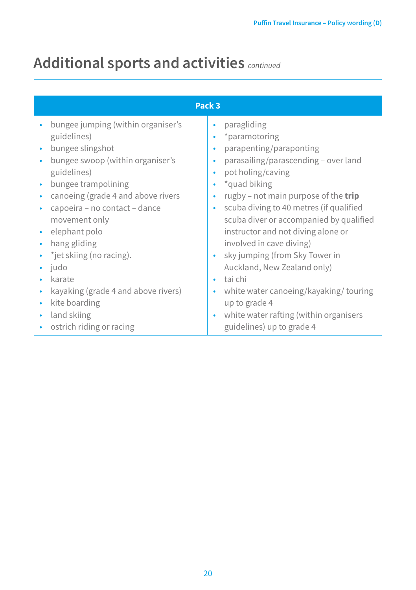## **Additional sports and activities** *continued*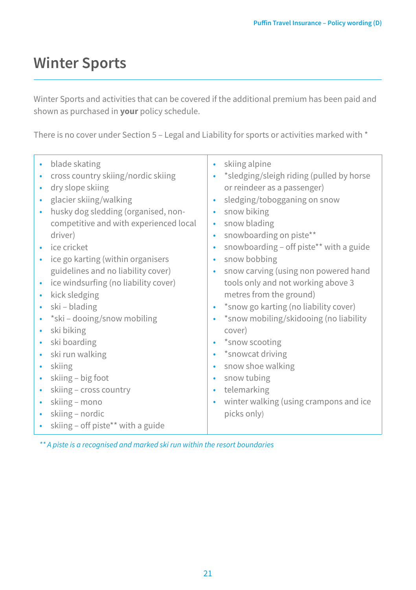## **Winter Sports**

Winter Sports and activities that can be covered if the additional premium has been paid and shown as purchased in **your** policy schedule.

There is no cover under Section 5 - Legal and Liability for sports or activities marked with \*

| blade skating<br>cross country skiing/nordic skiing<br>dry slope skiing<br>glacier skiing/walking<br>husky dog sledding (organised, non-<br>$\bullet$<br>competitive and with experienced local<br>driver)<br>ice cricket<br>ice go karting (within organisers<br>guidelines and no liability cover)<br>ice windsurfing (no liability cover)<br>$\bullet$<br>kick sledging<br>$\bullet$<br>ski – blading<br>*ski – dooing/snow mobiling<br>ski biking<br>$\bullet$<br>ski boarding<br>ski run walking<br>$\bullet$<br>skiing<br>skiing - big foot<br>skiing - cross country<br>skiing – mono<br>skiing – nordic<br>skiing - off piste** with a guide | skiing alpine<br>٠<br>*sledging/sleigh riding (pulled by horse<br>٠<br>or reindeer as a passenger)<br>sledging/tobogganing on snow<br>٠<br>snow biking<br>٠<br>snow blading<br>٠<br>snowboarding on piste**<br>٠<br>snowboarding - off piste** with a guide<br>٠<br>snow bobbing<br>٠<br>snow carving (using non powered hand<br>٠<br>tools only and not working above 3<br>metres from the ground)<br>*snow go karting (no liability cover)<br>٠<br>*snow mobiling/skidooing (no liability<br>٠<br>cover)<br>*snow scooting<br>٠<br>*snowcat driving<br>٠<br>snow shoe walking<br>٠<br>snow tubing<br>٠<br>telemarking<br>٠<br>winter walking (using crampons and ice<br>٠<br>picks only) |
|------------------------------------------------------------------------------------------------------------------------------------------------------------------------------------------------------------------------------------------------------------------------------------------------------------------------------------------------------------------------------------------------------------------------------------------------------------------------------------------------------------------------------------------------------------------------------------------------------------------------------------------------------|--------------------------------------------------------------------------------------------------------------------------------------------------------------------------------------------------------------------------------------------------------------------------------------------------------------------------------------------------------------------------------------------------------------------------------------------------------------------------------------------------------------------------------------------------------------------------------------------------------------------------------------------------------------------------------------------|
|------------------------------------------------------------------------------------------------------------------------------------------------------------------------------------------------------------------------------------------------------------------------------------------------------------------------------------------------------------------------------------------------------------------------------------------------------------------------------------------------------------------------------------------------------------------------------------------------------------------------------------------------------|--------------------------------------------------------------------------------------------------------------------------------------------------------------------------------------------------------------------------------------------------------------------------------------------------------------------------------------------------------------------------------------------------------------------------------------------------------------------------------------------------------------------------------------------------------------------------------------------------------------------------------------------------------------------------------------------|

*\*\* A piste is a recognised and marked ski run within the resort boundaries*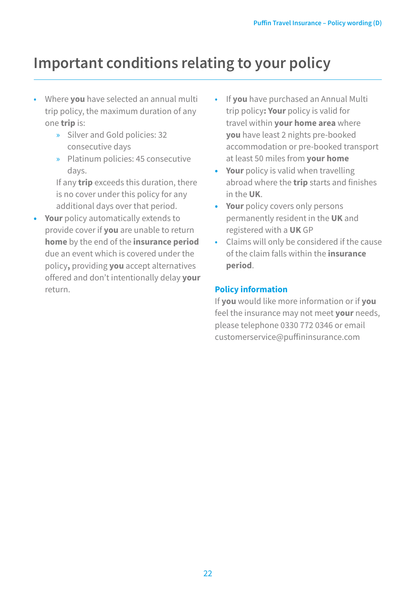## **Important conditions relating to your policy**

- Where **you** have selected an annual multi trip policy, the maximum duration of any one **trip** is:
	- » Silver and Gold policies: 32 consecutive days
	- » Platinum policies: 45 consecutive days.

If any **trip** exceeds this duration, there is no cover under this policy for any additional days over that period.

- **• Your** policy automatically extends to provide cover if **you** are unable to return **home** by the end of the **insurance period** due an event which is covered under the policy**,** providing **you** accept alternatives offered and don't intentionally delay **your**  return.
- If **you** have purchased an Annual Multi trip policy**: Your** policy is valid for travel within **your home area** where **you** have least 2 nights pre-booked accommodation or pre-booked transport at least 50 miles from **your home**
- **• Your** policy is valid when travelling abroad where the **trip** starts and finishes in the **UK**.
- **• Your** policy covers only persons permanently resident in the **UK** and registered with a **UK** GP
- Claims will only be considered if the cause of the claim falls within the **insurance period**.

#### **Policy information**

If **you** would like more information or if **you**  feel the insurance may not meet **your** needs, please telephone 0330 772 0346 or email customerservice@puffininsurance.com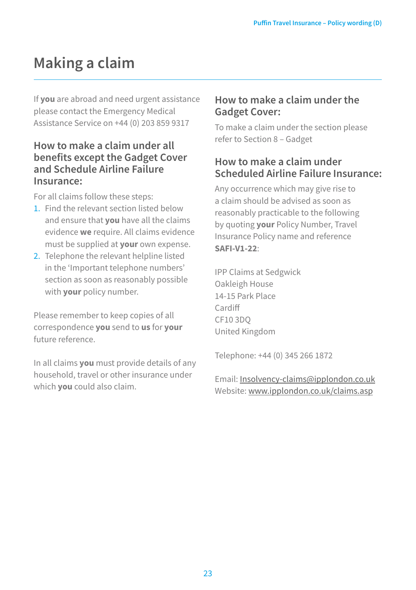## **Making a claim**

If **you** are abroad and need urgent assistance please contact the Emergency Medical Assistance Service on +44 (0) 203 859 9317

### **How to make a claim under all benefits except the Gadget Cover and Schedule Airline Failure Insurance:**

For all claims follow these steps:

- 1. Find the relevant section listed below and ensure that **you** have all the claims evidence **we** require. All claims evidence must be supplied at **your** own expense.
- 2. Telephone the relevant helpline listed in the 'Important telephone numbers' section as soon as reasonably possible with **your** policy number.

Please remember to keep copies of all correspondence **you** send to **us** for **your**  future reference.

In all claims **you** must provide details of any household, travel or other insurance under which **you** could also claim.

### **How to make a claim under the Gadget Cover:**

To make a claim under the section please refer to Section 8 – Gadget

## **How to make a claim under Scheduled Airline Failure Insurance:**

Any occurrence which may give rise to a claim should be advised as soon as reasonably practicable to the following by quoting **your** Policy Number, Travel Insurance Policy name and reference **SAFI-V1-22**:

IPP Claims at Sedgwick Oakleigh House 14-15 Park Place Cardiff CF10 3DQ United Kingdom

Telephone: +44 (0) 345 266 1872

#### Email: [Insolvency-claims@ipplondon.co.uk](mailto:Insolvency-claims@ipplondon.co.uk) Website: [www.ipplondon.co.uk/claims.asp](http://www.ipplondon.co.uk/claims.asp)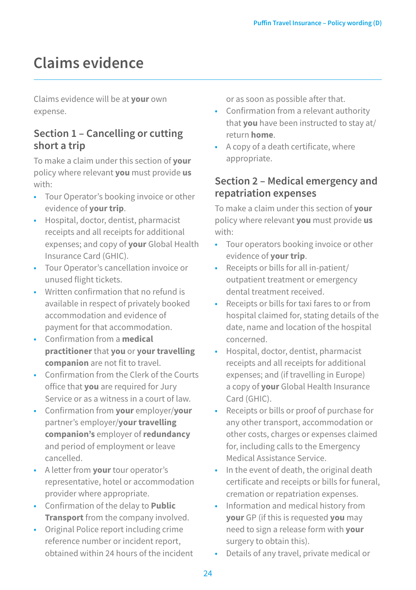## **Claims evidence**

Claims evidence will be at **your** own expense.

### **Section 1 – Cancelling or cutting short a trip**

To make a claim under this section of **your**  policy where relevant **you** must provide **us**  with:

- Tour Operator's booking invoice or other evidence of **your trip**.
- Hospital, doctor, dentist, pharmacist receipts and all receipts for additional expenses; and copy of **your** Global Health Insurance Card (GHIC).
- Tour Operator's cancellation invoice or unused flight tickets.
- Written confirmation that no refund is available in respect of privately booked accommodation and evidence of payment for that accommodation.
- Confirmation from a **medical practitioner** that **you** or **your travelling companion** are not fit to travel.
- Confirmation from the Clerk of the Courts office that **you** are required for Jury Service or as a witness in a court of law.
- Confirmation from **your** employer/**your**  partner's employer/**your travelling companion's** employer of **redundancy**  and period of employment or leave cancelled.
- A letter from **your** tour operator's representative, hotel or accommodation provider where appropriate.
- Confirmation of the delay to **Public Transport** from the company involved.
- Original Police report including crime reference number or incident report, obtained within 24 hours of the incident

or as soon as possible after that.

- Confirmation from a relevant authority that **you** have been instructed to stay at/ return **home**.
- A copy of a death certificate, where appropriate.

## **Section 2 – Medical emergency and repatriation expenses**

To make a claim under this section of **your**  policy where relevant **you** must provide **us**  with:

- Tour operators booking invoice or other evidence of **your trip**.
- Receipts or bills for all in-patient/ outpatient treatment or emergency dental treatment received.
- Receipts or bills for taxi fares to or from hospital claimed for, stating details of the date, name and location of the hospital concerned.
- Hospital, doctor, dentist, pharmacist receipts and all receipts for additional expenses; and (if travelling in Europe) a copy of **your** Global Health Insurance Card (GHIC).
- Receipts or bills or proof of purchase for any other transport, accommodation or other costs, charges or expenses claimed for, including calls to the Emergency Medical Assistance Service.
- In the event of death, the original death certificate and receipts or bills for funeral, cremation or repatriation expenses.
- Information and medical history from **your** GP (if this is requested **you** may need to sign a release form with **your**  surgery to obtain this).
- Details of any travel, private medical or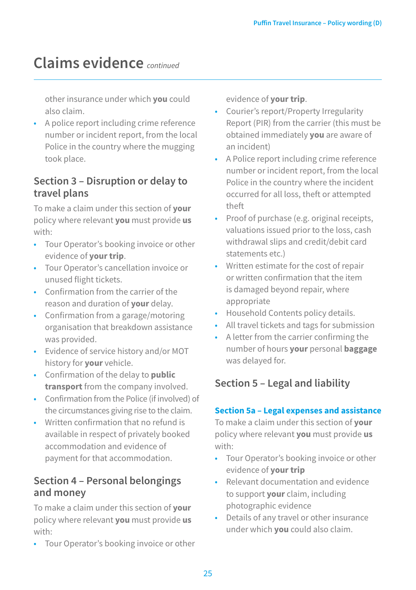## **Claims evidence** *continued*

other insurance under which **you** could also claim.

• A police report including crime reference number or incident report, from the local Police in the country where the mugging took place.

### **Section 3 – Disruption or delay to travel plans**

To make a claim under this section of **your**  policy where relevant **you** must provide **us**  with:

- Tour Operator's booking invoice or other evidence of **your trip**.
- Tour Operator's cancellation invoice or unused flight tickets.
- Confirmation from the carrier of the reason and duration of **your** delay.
- Confirmation from a garage/motoring organisation that breakdown assistance was provided.
- Evidence of service history and/or MOT history for **your** vehicle.
- Confirmation of the delay to **public transport** from the company involved.
- Confirmation from the Police (if involved) of the circumstances giving rise to the claim.
- Written confirmation that no refund is available in respect of privately booked accommodation and evidence of payment for that accommodation.

## **Section 4 – Personal belongings and money**

To make a claim under this section of **your**  policy where relevant **you** must provide **us**  with:

• Tour Operator's booking invoice or other

evidence of **your trip**.

- Courier's report/Property Irregularity Report (PIR) from the carrier (this must be obtained immediately **you** are aware of an incident)
- A Police report including crime reference number or incident report, from the local Police in the country where the incident occurred for all loss, theft or attempted theft
- Proof of purchase (e.g. original receipts, valuations issued prior to the loss, cash withdrawal slips and credit/debit card statements etc.)
- Written estimate for the cost of repair or written confirmation that the item is damaged beyond repair, where appropriate
- Household Contents policy details.
- All travel tickets and tags for submission
- A letter from the carrier confirming the number of hours **your** personal **baggage**  was delayed for.

## **Section 5 – Legal and liability**

#### **Section 5a – Legal expenses and assistance**

To make a claim under this section of **your**  policy where relevant **you** must provide **us**  with:

- Tour Operator's booking invoice or other evidence of **your trip**
- Relevant documentation and evidence to support **your** claim, including photographic evidence
- Details of any travel or other insurance under which **you** could also claim.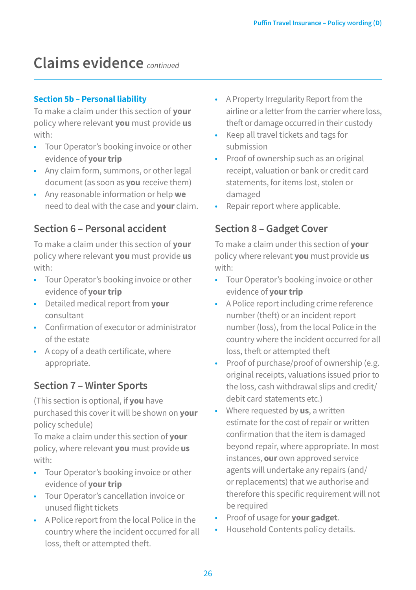## **Claims evidence** *continued*

#### **Section 5b – Personal liability**

To make a claim under this section of **your**  policy where relevant **you** must provide **us**  with:

- Tour Operator's booking invoice or other evidence of **your trip**
- Any claim form, summons, or other legal document (as soon as **you** receive them)
- Any reasonable information or help **we**  need to deal with the case and **your** claim.

## **Section 6 – Personal accident**

To make a claim under this section of **your**  policy where relevant **you** must provide **us**  with:

- Tour Operator's booking invoice or other evidence of **your trip**
- Detailed medical report from **your**  consultant
- Confirmation of executor or administrator of the estate
- A copy of a death certificate, where appropriate.

## **Section 7 – Winter Sports**

(This section is optional, if **you** have purchased this cover it will be shown on **your**  policy schedule)

To make a claim under this section of **your**  policy, where relevant **you** must provide **us**  with:

- Tour Operator's booking invoice or other evidence of **your trip**
- Tour Operator's cancellation invoice or unused flight tickets
- A Police report from the local Police in the country where the incident occurred for all loss, theft or attempted theft.
- A Property Irregularity Report from the airline or a letter from the carrier where loss, theft or damage occurred in their custody
- Keep all travel tickets and tags for submission
- Proof of ownership such as an original receipt, valuation or bank or credit card statements, for items lost, stolen or damaged
- Repair report where applicable.

## **Section 8 – Gadget Cover**

To make a claim under this section of **your**  policy where relevant **you** must provide **us**  with:

- Tour Operator's booking invoice or other evidence of **your trip**
- A Police report including crime reference number (theft) or an incident report number (loss), from the local Police in the country where the incident occurred for all loss, theft or attempted theft
- Proof of purchase/proof of ownership (e.g. original receipts, valuations issued prior to the loss, cash withdrawal slips and credit/ debit card statements etc.)
- Where requested by **us**, a written estimate for the cost of repair or written confirmation that the item is damaged beyond repair, where appropriate. In most instances, **our** own approved service agents will undertake any repairs (and/ or replacements) that we authorise and therefore this specific requirement will not be required
- Proof of usage for **your gadget**.
- Household Contents policy details.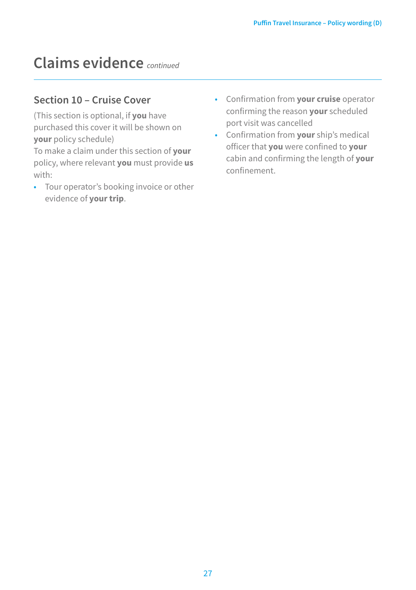## **Claims evidence** *continued*

### **Section 10 – Cruise Cover**

(This section is optional, if **you** have purchased this cover it will be shown on **your** policy schedule)

To make a claim under this section of **your**  policy, where relevant **you** must provide **us**  with:

- Tour operator's booking invoice or other evidence of **your trip**.
- Confirmation from **your cruise** operator confirming the reason **your** scheduled port visit was cancelled
- Confirmation from **your** ship's medical officer that **you** were confined to **your**  cabin and confirming the length of **your**  confinement.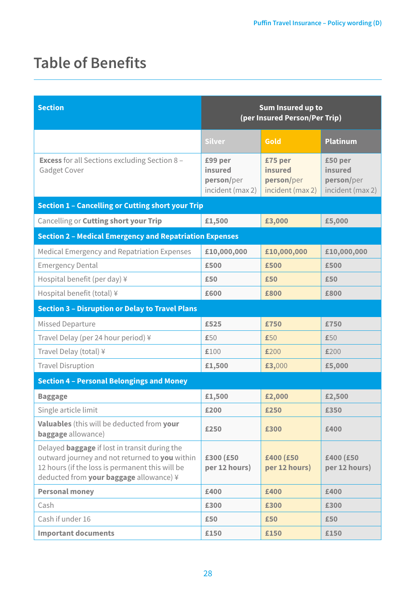## **Table of Benefits**

| <b>Section</b>                                                                                                                                                                                       | Sum Insured up to<br>(per Insured Person/Per Trip)   |                                                      |                                                      |
|------------------------------------------------------------------------------------------------------------------------------------------------------------------------------------------------------|------------------------------------------------------|------------------------------------------------------|------------------------------------------------------|
|                                                                                                                                                                                                      | <b>Silver</b>                                        | Gold                                                 | <b>Platinum</b>                                      |
| <b>Excess</b> for all Sections excluding Section 8 -<br>Gadget Cover                                                                                                                                 | £99 per<br>insured<br>person/per<br>incident (max 2) | £75 per<br>insured<br>person/per<br>incident (max 2) | £50 per<br>insured<br>person/per<br>incident (max 2) |
| <b>Section 1 - Cancelling or Cutting short your Trip</b>                                                                                                                                             |                                                      |                                                      |                                                      |
| Cancelling or Cutting short your Trip                                                                                                                                                                | £1,500                                               | £3,000                                               | £5,000                                               |
| <b>Section 2 - Medical Emergency and Repatriation Expenses</b>                                                                                                                                       |                                                      |                                                      |                                                      |
| Medical Emergency and Repatriation Expenses                                                                                                                                                          | £10,000,000                                          | £10,000,000                                          | £10,000,000                                          |
| <b>Emergency Dental</b>                                                                                                                                                                              | £500                                                 | £500                                                 | £500                                                 |
| Hospital benefit (per day) $\frac{1}{2}$                                                                                                                                                             | £50                                                  | £50                                                  | £50                                                  |
| Hospital benefit (total) ¥                                                                                                                                                                           | £600                                                 | £800                                                 | £800                                                 |
| <b>Section 3 - Disruption or Delay to Travel Plans</b>                                                                                                                                               |                                                      |                                                      |                                                      |
| <b>Missed Departure</b>                                                                                                                                                                              | £525                                                 | £750                                                 | £750                                                 |
| Travel Delay (per 24 hour period) ¥                                                                                                                                                                  | £50                                                  | £50                                                  | £50                                                  |
| Travel Delay (total) ¥                                                                                                                                                                               | £100                                                 | £200                                                 | £200                                                 |
| <b>Travel Disruption</b>                                                                                                                                                                             | £1,500                                               | £3,000                                               | £5,000                                               |
| <b>Section 4 - Personal Belongings and Money</b>                                                                                                                                                     |                                                      |                                                      |                                                      |
| <b>Baggage</b>                                                                                                                                                                                       | £1,500                                               | £2,000                                               | £2,500                                               |
| Single article limit                                                                                                                                                                                 | £200                                                 | £250                                                 | £350                                                 |
| Valuables (this will be deducted from your<br><b>baggage</b> allowance)                                                                                                                              | £250                                                 | £300                                                 | £400                                                 |
| Delayed <b>baggage</b> if lost in transit during the<br>outward journey and not returned to you within<br>12 hours (if the loss is permanent this will be<br>deducted from your baggage allowance) ¥ | £300 (£50<br>per 12 hours)                           | £400 (£50<br>per 12 hours)                           | £400 (£50<br>per 12 hours)                           |
| <b>Personal money</b>                                                                                                                                                                                | £400                                                 | £400                                                 | £400                                                 |
| Cash                                                                                                                                                                                                 | £300                                                 | £300                                                 | £300                                                 |
| Cash if under 16                                                                                                                                                                                     | £50                                                  | £50                                                  | £50                                                  |
| <b>Important documents</b>                                                                                                                                                                           | £150                                                 | £150                                                 | £150                                                 |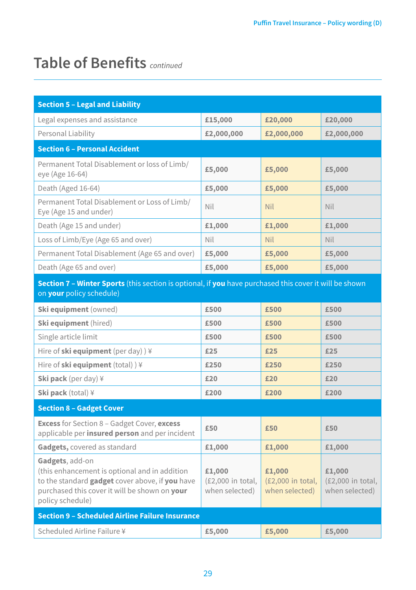## **Table of Benefits** *continued*

| <b>Section 5 - Legal and Liability</b>                                                                                                                                                   |                                               |                                               |                                               |  |
|------------------------------------------------------------------------------------------------------------------------------------------------------------------------------------------|-----------------------------------------------|-----------------------------------------------|-----------------------------------------------|--|
| Legal expenses and assistance                                                                                                                                                            | £15,000                                       | £20,000                                       | £20,000                                       |  |
| Personal Liability                                                                                                                                                                       | £2,000,000                                    | £2,000,000                                    | £2,000,000                                    |  |
| <b>Section 6 - Personal Accident</b>                                                                                                                                                     |                                               |                                               |                                               |  |
| Permanent Total Disablement or loss of Limb/<br>eye (Age 16-64)                                                                                                                          | £5,000                                        | £5,000                                        | £5,000                                        |  |
| Death (Aged 16-64)                                                                                                                                                                       | £5,000                                        | £5,000                                        | £5,000                                        |  |
| Permanent Total Disablement or Loss of Limb/<br>Eye (Age 15 and under)                                                                                                                   | Nil                                           | <b>Nil</b>                                    | Nil                                           |  |
| Death (Age 15 and under)                                                                                                                                                                 | £1,000                                        | £1,000                                        | £1,000                                        |  |
| Loss of Limb/Eye (Age 65 and over)                                                                                                                                                       | Nil                                           | <b>Nil</b>                                    | Nil                                           |  |
| Permanent Total Disablement (Age 65 and over)                                                                                                                                            | £5,000                                        | £5,000                                        | £5,000                                        |  |
| Death (Age 65 and over)                                                                                                                                                                  | £5,000                                        | £5,000                                        | £5,000                                        |  |
| Section 7 - Winter Sports (this section is optional, if you have purchased this cover it will be shown<br>on your policy schedule)                                                       |                                               |                                               |                                               |  |
| Ski equipment (owned)                                                                                                                                                                    | £500                                          | £500                                          | £500                                          |  |
| Ski equipment (hired)                                                                                                                                                                    | £500                                          | £500                                          | £500                                          |  |
| Single article limit                                                                                                                                                                     | £500                                          | £500                                          | £500                                          |  |
| Hire of ski equipment (per day) $)$ ¥                                                                                                                                                    | £25                                           | £25                                           | £25                                           |  |
| Hire of ski equipment (total) ) ¥                                                                                                                                                        | £250                                          | £250                                          | £250                                          |  |
| <b>Ski pack</b> (per day) $\frac{1}{2}$                                                                                                                                                  | £20                                           | £20                                           | £20                                           |  |
| <b>Ski pack</b> (total) $\angle$                                                                                                                                                         | £200                                          | £200                                          | £200                                          |  |
| <b>Section 8 - Gadget Cover</b>                                                                                                                                                          |                                               |                                               |                                               |  |
| <b>Excess</b> for Section 8 - Gadget Cover, excess<br>applicable per insured person and per incident                                                                                     | £50                                           | £50                                           | £50                                           |  |
| Gadgets, covered as standard                                                                                                                                                             | £1,000                                        | £1,000                                        | £1,000                                        |  |
| Gadgets, add-on<br>(this enhancement is optional and in addition<br>to the standard gadget cover above, if you have<br>purchased this cover it will be shown on your<br>policy schedule) | £1,000<br>(£2,000 in total,<br>when selected) | £1,000<br>(£2,000 in total,<br>when selected) | £1,000<br>(£2,000 in total,<br>when selected) |  |
| <b>Section 9 - Scheduled Airline Failure Insurance</b>                                                                                                                                   |                                               |                                               |                                               |  |
| Scheduled Airline Failure ¥                                                                                                                                                              | £5,000                                        | £5,000                                        | £5,000                                        |  |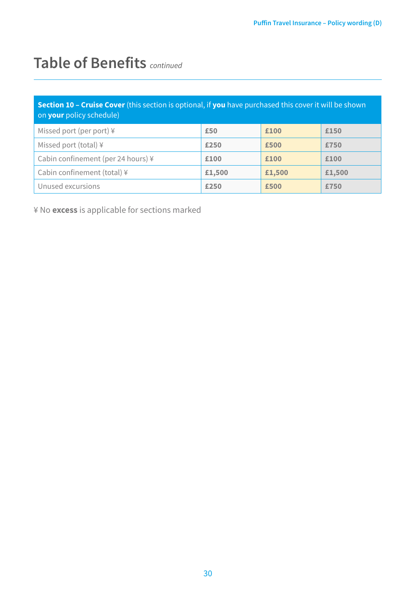## **Table of Benefits** *continued*

| <b>Section 10 - Cruise Cover</b> (this section is optional, if you have purchased this cover it will be shown<br>on <b>your</b> policy schedule) |        |        |        |
|--------------------------------------------------------------------------------------------------------------------------------------------------|--------|--------|--------|
| Missed port (per port) $\frac{1}{2}$                                                                                                             | £50    | £100   | £150   |
| Missed port (total) ¥                                                                                                                            | £250   | £500   | £750   |
| Cabin confinement (per 24 hours) ¥                                                                                                               | £100   | £100   | £100   |
| Cabin confinement (total) ¥                                                                                                                      | £1,500 | £1,500 | £1,500 |
| Unused excursions                                                                                                                                | £250   | £500   | £750   |

¥ No **excess** is applicable for sections marked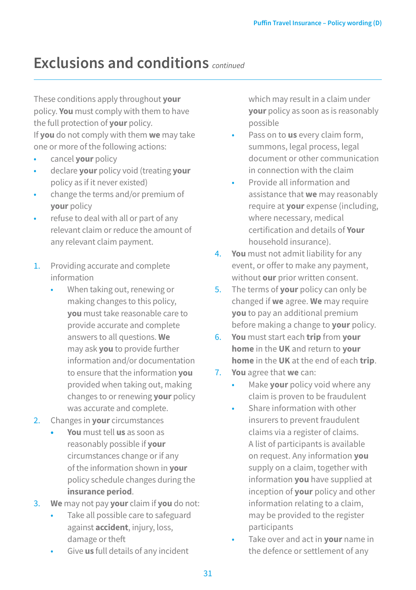## **Exclusions and conditions** *continued*

These conditions apply throughout **your** policy. **You** must comply with them to have the full protection of **your** policy. If **you** do not comply with them **we** may take one or more of the following actions:

- cancel **your** policy
- declare **your** policy void (treating **your** policy as if it never existed)
- change the terms and/or premium of **your** policy
- refuse to deal with all or part of any relevant claim or reduce the amount of any relevant claim payment.
- 1. Providing accurate and complete information
	- When taking out, renewing or making changes to this policy, **you** must take reasonable care to provide accurate and complete answers to all questions. **We** may ask **you** to provide further information and/or documentation to ensure that the information **you** provided when taking out, making changes to or renewing **your** policy was accurate and complete.
- 2. Changes in **your** circumstances
	- **• You** must tell **us** as soon as reasonably possible if **your** circumstances change or if any of the information shown in **your** policy schedule changes during the **insurance period**.
- 3. **We** may not pay **your** claim if **you** do not:
	- Take all possible care to safeguard against **accident**, injury, loss, damage or theft
	- Give **us** full details of any incident

which may result in a claim under **your** policy as soon as is reasonably possible

- Pass on to **us** every claim form, summons, legal process, legal document or other communication in connection with the claim
- Provide all information and assistance that **we** may reasonably require at **your** expense (including, where necessary, medical certification and details of **Your**  household insurance).
- 4. **You** must not admit liability for any event, or offer to make any payment, without **our** prior written consent.
- 5. The terms of **your** policy can only be changed if **we** agree. **We** may require **you** to pay an additional premium before making a change to **your** policy.
- 6. **You** must start each **trip** from **your home** in the **UK** and return to **your home** in the **UK** at the end of each **trip**.
- 7. **You** agree that **we** can:
	- Make **your** policy void where any claim is proven to be fraudulent
		- Share information with other insurers to prevent fraudulent claims via a register of claims. A list of participants is available on request. Any information **you**  supply on a claim, together with information **you** have supplied at inception of **your** policy and other information relating to a claim, may be provided to the register participants
	- Take over and act in **your** name in the defence or settlement of any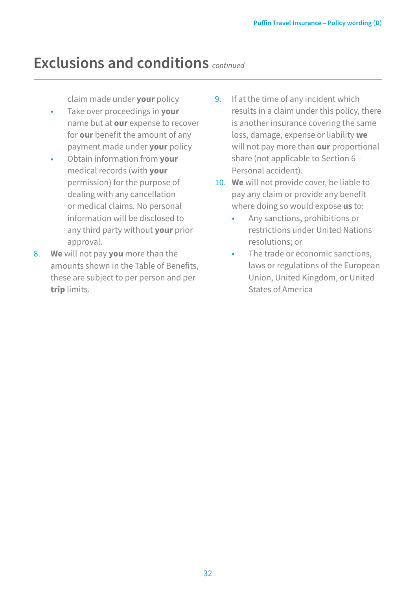## **Exclusions and conditions** *continued*

claim made under **your** policy

- Take over proceedings in **your**  name but at **our** expense to recover for **our** benefit the amount of any payment made under **your** policy
- Obtain information from **your**  medical records (with **your**  permission) for the purpose of dealing with any cancellation or medical claims. No personal information will be disclosed to any third party without **your** prior approval.
- 8. **We** will not pay **you** more than the amounts shown in the Table of Benefits, these are subject to per person and per **trip** limits.
- 9. If at the time of any incident which results in a claim under this policy, there is another insurance covering the same loss, damage, expense or liability **we** will not pay more than **our** proportional share (not applicable to Section 6 – Personal accident).
- 10. **We** will not provide cover, be liable to pay any claim or provide any benefit where doing so would expose **us** to:
	- Any sanctions, prohibitions or restrictions under United Nations resolutions; or
	- The trade or economic sanctions, laws or regulations of the European Union, United Kingdom, or United States of America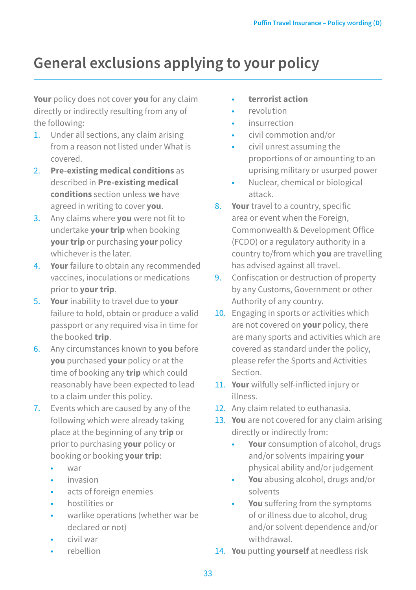## **General exclusions applying to your policy**

**Your** policy does not cover **you** for any claim directly or indirectly resulting from any of the following:

- 1. Under all sections, any claim arising from a reason not listed under What is covered.
- 2. **Pre-existing medical conditions** as described in **Pre-existing medical conditions** section unless **we** have agreed in writing to cover **you**.
- 3. Any claims where **you** were not fit to undertake **your trip** when booking **your trip** or purchasing **your** policy whichever is the later.
- 4. **Your** failure to obtain any recommended vaccines, inoculations or medications prior to **your trip**.
- 5. **Your** inability to travel due to **your** failure to hold, obtain or produce a valid passport or any required visa in time for the booked **trip**.
- 6. Any circumstances known to **you** before **you** purchased **your** policy or at the time of booking any **trip** which could reasonably have been expected to lead to a claim under this policy.
- 7. Events which are caused by any of the following which were already taking place at the beginning of any **trip** or prior to purchasing **your** policy or booking or booking **your trip**:
	- war
	- invasion
	- acts of foreign enemies
	- hostilities or
	- warlike operations (whether war be declared or not)
	- civil war
	- rebellion
- **terrorist action**
- revolution
- insurrection
- civil commotion and/or
- civil unrest assuming the proportions of or amounting to an uprising military or usurped power
- Nuclear, chemical or biological attack.
- 8. **Your** travel to a country, specific area or event when the Foreign, Commonwealth & Development Office (FCDO) or a regulatory authority in a country to/from which **you** are travelling has advised against all travel.
- 9. Confiscation or destruction of property by any Customs, Government or other Authority of any country.
- 10. Engaging in sports or activities which are not covered on **your** policy, there are many sports and activities which are covered as standard under the policy, please refer the Sports and Activities Section.
- 11. **Your** wilfully self-inflicted injury or illnoss
- 12. Any claim related to euthanasia.
- 13. **You** are not covered for any claim arising directly or indirectly from:
	- **Your** consumption of alcohol, drugs and/or solvents impairing **your** physical ability and/or judgement
	- **You** abusing alcohol, drugs and/or solvents
	- **You** suffering from the symptoms of or illness due to alcohol, drug and/or solvent dependence and/or withdrawal.
- 14. **You** putting **yourself** at needless risk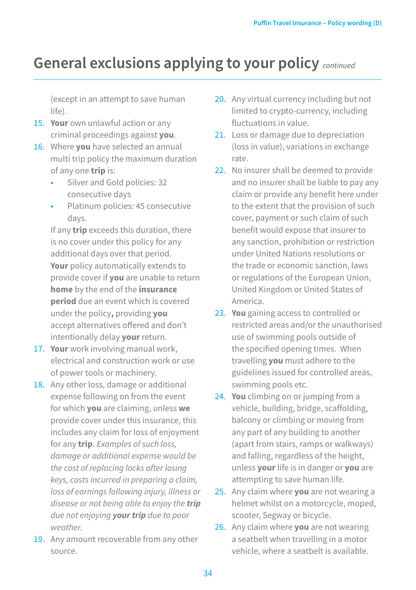## **General exclusions applying to your policy** *continued*

(except in an attempt to save human life).

- 15. **Your** own unlawful action or any criminal proceedings against **you**.
- 16. Where **you** have selected an annual multi trip policy the maximum duration of any one **trip** is:
	- Silver and Gold policies: 32 consecutive days
	- Platinum policies: 45 consecutive days.

If any **trip** exceeds this duration, there is no cover under this policy for any additional days over that period. **Your** policy automatically extends to provide cover if **you** are unable to return **home** by the end of the **insurance period** due an event which is covered under the policy**,** providing **you**  accept alternatives offered and don't intentionally delay **your** return.

- 17. **Your** work involving manual work, electrical and construction work or use of power tools or machinery.
- 18. Any other loss, damage or additional expense following on from the event for which **you** are claiming, unless **we** provide cover under this insurance, this includes any claim for loss of enjoyment for any **trip**. *Examples of such loss, damage or additional expense would be the cost of replacing locks after losing keys, costs incurred in preparing a claim, loss of earnings following injury, illness or disease or not being able to enjoy the trip due not enjoying your trip due to poor weather.*
- 19. Any amount recoverable from any other source.
- 20. Any virtual currency including but not limited to crypto-currency, including fluctuations in value.
- 21. Loss or damage due to depreciation (loss in value), variations in exchange rate.
- 22. No insurer shall be deemed to provide and no insurer shall be liable to pay any claim or provide any benefit here under to the extent that the provision of such cover, payment or such claim of such benefit would expose that insurer to any sanction, prohibition or restriction under United Nations resolutions or the trade or economic sanction, laws or regulations of the European Union, United Kingdom or United States of America.
- 23. **You** gaining access to controlled or restricted areas and/or the unauthorised use of swimming pools outside of the specified opening times. When travelling **you** must adhere to the guidelines issued for controlled areas, swimming pools etc.
- 24. **You** climbing on or jumping from a vehicle, building, bridge, scaffolding, balcony or climbing or moving from any part of any building to another (apart from stairs, ramps or walkways) and falling, regardless of the height, unless **your** life is in danger or **you** are attempting to save human life.
- 25. Any claim where **you** are not wearing a helmet whilst on a motorcycle, moped, scooter, Segway or bicycle.
- 26. Any claim where **you** are not wearing a seatbelt when travelling in a motor vehicle, where a seatbelt is available.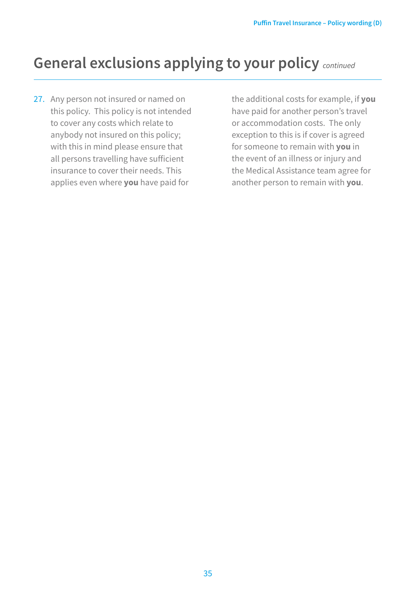## **General exclusions applying to your policy** *continued*

27. Any person not insured or named on this policy. This policy is not intended to cover any costs which relate to anybody not insured on this policy; with this in mind please ensure that all persons travelling have sufficient insurance to cover their needs. This applies even where **you** have paid for

the additional costs for example, if **you** have paid for another person's travel or accommodation costs. The only exception to this is if cover is agreed for someone to remain with **you** in the event of an illness or injury and the Medical Assistance team agree for another person to remain with **you**.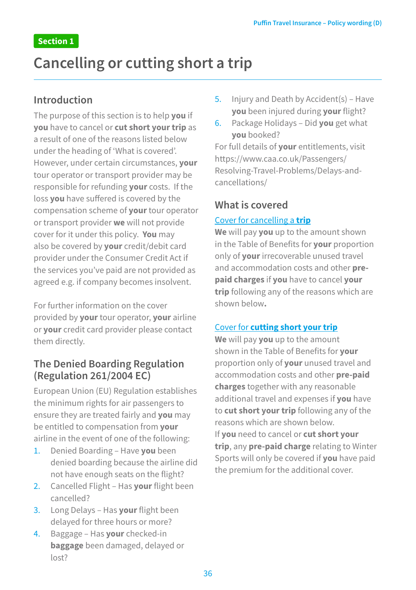## **Cancelling or cutting short a trip**

### **Introduction**

The purpose of this section is to help **you** if **you** have to cancel or **cut short your trip** as a result of one of the reasons listed below under the heading of 'What is covered'. However, under certain circumstances, **your** tour operator or transport provider may be responsible for refunding **your** costs. If the loss **you** have suffered is covered by the compensation scheme of **your** tour operator or transport provider **we** will not provide cover for it under this policy. **You** may also be covered by **your** credit/debit card provider under the Consumer Credit Act if the services you've paid are not provided as agreed e.g. if company becomes insolvent.

For further information on the cover provided by **your** tour operator, **your** airline or **your** credit card provider please contact them directly.

## **The Denied Boarding Regulation (Regulation 261/2004 EC)**

European Union (EU) Regulation establishes the minimum rights for air passengers to ensure they are treated fairly and **you** may be entitled to compensation from **your** airline in the event of one of the following:

- 1. Denied Boarding Have **you** been denied boarding because the airline did not have enough seats on the flight?
- 2. Cancelled Flight Has **your** flight been cancelled?
- 3. Long Delays Has **your** flight been delayed for three hours or more?
- 4. Baggage Has **your** checked-in **baggage** been damaged, delayed or  $|oct2$
- 5. Injury and Death by Accident(s) Have **you** been injured during **your** flight?
- 6. Package Holidays Did **you** get what **you** booked?

For full details of **your** entitlements, visit https://www.caa.co.uk/Passengers/ Resolving-Travel-Problems/Delays-andcancellations/

## **What is covered**

#### Cover for cancelling a **trip**

**We** will pay **you** up to the amount shown in the Table of Benefits for **your** proportion only of **your** irrecoverable unused travel and accommodation costs and other **prepaid charges** if **you** have to cancel **your trip** following any of the reasons which are shown below**.**

#### Cover for **cutting short your trip**

**We** will pay **you** up to the amount shown in the Table of Benefits for **your**  proportion only of **your** unused travel and accommodation costs and other **pre-paid charges** together with any reasonable additional travel and expenses if **you** have to **cut short your trip** following any of the reasons which are shown below. If **you** need to cancel or **cut short your trip**, any **pre-paid charge** relating to Winter Sports will only be covered if **you** have paid the premium for the additional cover.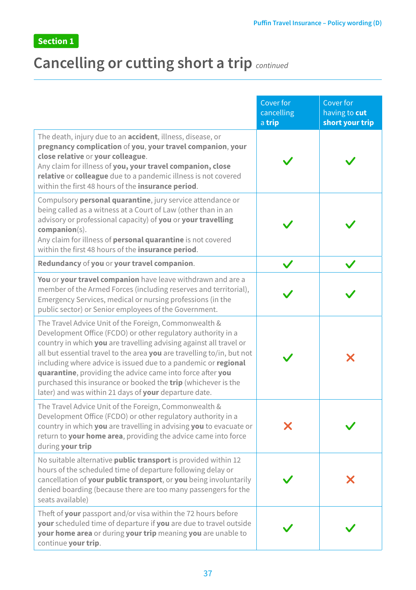## **Cancelling or cutting short a trip** *continued*

|                                                                                                                                                                                                                                                                                                                                                                                                                                                                                                                                        | Cover for<br>cancelling<br>a trip | Cover for<br>having to cut<br>short your trip |
|----------------------------------------------------------------------------------------------------------------------------------------------------------------------------------------------------------------------------------------------------------------------------------------------------------------------------------------------------------------------------------------------------------------------------------------------------------------------------------------------------------------------------------------|-----------------------------------|-----------------------------------------------|
| The death, injury due to an <b>accident</b> , illness, disease, or<br>pregnancy complication of you, your travel companion, your<br>close relative or your colleague.<br>Any claim for illness of you, your travel companion, close<br>relative or colleague due to a pandemic illness is not covered<br>within the first 48 hours of the insurance period.                                                                                                                                                                            |                                   |                                               |
| Compulsory personal quarantine, jury service attendance or<br>being called as a witness at a Court of Law (other than in an<br>advisory or professional capacity) of you or your travelling<br>$companion(s)$ .<br>Any claim for illness of personal quarantine is not covered<br>within the first 48 hours of the insurance period.                                                                                                                                                                                                   |                                   |                                               |
| Redundancy of you or your travel companion.                                                                                                                                                                                                                                                                                                                                                                                                                                                                                            |                                   |                                               |
| You or your travel companion have leave withdrawn and are a<br>member of the Armed Forces (including reserves and territorial),<br>Emergency Services, medical or nursing professions (in the<br>public sector) or Senior employees of the Government.                                                                                                                                                                                                                                                                                 |                                   |                                               |
| The Travel Advice Unit of the Foreign, Commonwealth &<br>Development Office (FCDO) or other regulatory authority in a<br>country in which you are travelling advising against all travel or<br>all but essential travel to the area you are travelling to/in, but not<br>including where advice is issued due to a pandemic or regional<br>quarantine, providing the advice came into force after you<br>purchased this insurance or booked the <b>trip</b> (whichever is the<br>later) and was within 21 days of your departure date. |                                   | X                                             |
| The Travel Advice Unit of the Foreign, Commonwealth &<br>Development Office (FCDO) or other regulatory authority in a<br>country in which you are travelling in advising you to evacuate or<br>return to your home area, providing the advice came into force<br>during your trip                                                                                                                                                                                                                                                      | X                                 |                                               |
| No suitable alternative <b>public transport</b> is provided within 12<br>hours of the scheduled time of departure following delay or<br>cancellation of your public transport, or you being involuntarily<br>denied boarding (because there are too many passengers for the<br>seats available)                                                                                                                                                                                                                                        |                                   | X                                             |
| Theft of your passport and/or visa within the 72 hours before<br>your scheduled time of departure if you are due to travel outside<br>your home area or during your trip meaning you are unable to<br>continue your trip.                                                                                                                                                                                                                                                                                                              |                                   |                                               |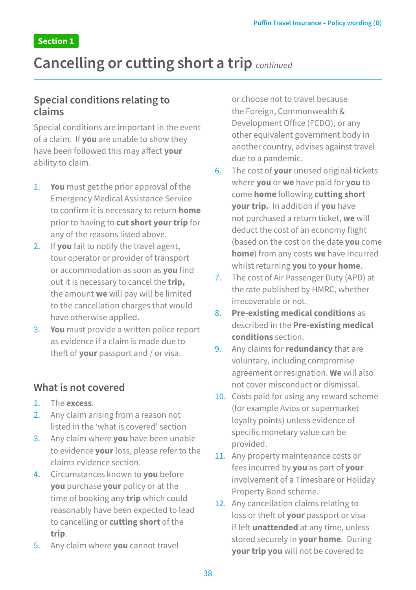## **Cancelling or cutting short a trip** *continued*

### **Special conditions relating to claims**

Special conditions are important in the event of a claim. If **you** are unable to show they have been followed this may affect **your** ability to claim.

- 1. **You** must get the prior approval of the Emergency Medical Assistance Service to confirm it is necessary to return **home** prior to having to **cut short your trip** for any of the reasons listed above.
- 2. If **you** fail to notify the travel agent, tour operator or provider of transport or accommodation as soon as **you** find out it is necessary to cancel the **trip,**  the amount **we** will pay will be limited to the cancellation charges that would have otherwise applied.
- 3. **You** must provide a written police report as evidence if a claim is made due to theft of **your** passport and / or visa.

### **What is not covered**

- 1. The **excess**.
- 2. Any claim arising from a reason not listed in the 'what is covered' section
- 3. Any claim where **you** have been unable to evidence **your** loss, please refer to the claims evidence section.
- 4. Circumstances known to **you** before **you** purchase **your** policy or at the time of booking any **trip** which could reasonably have been expected to lead to cancelling or **cutting short** of the **trip**.
- 5. Any claim where **you** cannot travel

or choose not to travel because the Foreign, Commonwealth & Development Office (FCDO), or any other equivalent government body in another country, advises against travel due to a pandemic.

- 6. The cost of **your** unused original tickets where **you** or **we** have paid for **you** to come **home** following **cutting short your trip.** In addition if **you** have not purchased a return ticket, **we** will deduct the cost of an economy flight (based on the cost on the date **you** come **home**) from any costs **we** have incurred whilst returning **you** to **your home**.
- 7. The cost of Air Passenger Duty (APD) at the rate published by HMRC, whether irrecoverable or not.
- 8. **Pre-existing medical conditions** as described in the **Pre-existing medical conditions** section.
- 9. Any claims for **redundancy** that are voluntary, including compromise agreement or resignation. **We** will also not cover misconduct or dismissal.
- 10. Costs paid for using any reward scheme (for example Avios or supermarket loyalty points) unless evidence of specific monetary value can be provided.
- 11. Any property maintenance costs or fees incurred by **you** as part of **your** involvement of a Timeshare or Holiday Property Bond scheme.
- 12. Any cancellation claims relating to loss or theft of **your** passport or visa if left **unattended** at any time, unless stored securely in **your home**. During **your trip you** will not be covered to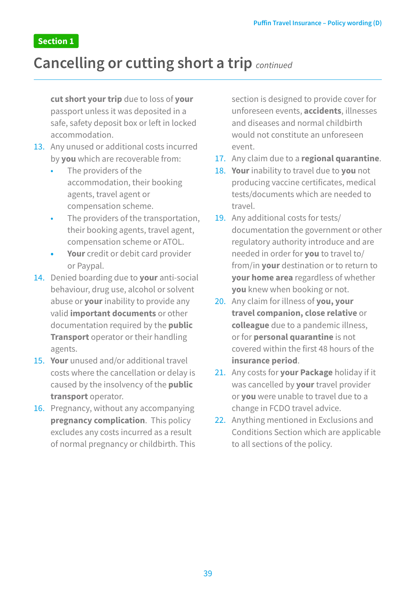## **Cancelling or cutting short a trip** *continued*

**cut short your trip** due to loss of **your** passport unless it was deposited in a safe, safety deposit box or left in locked accommodation.

- 13. Any unused or additional costs incurred by **you** which are recoverable from:
	- The providers of the accommodation, their booking agents, travel agent or compensation scheme.
	- The providers of the transportation, their booking agents, travel agent, compensation scheme or ATOL.
	- **• Your** credit or debit card provider or Paypal.
- 14. Denied boarding due to **your** anti-social behaviour, drug use, alcohol or solvent abuse or **your** inability to provide any valid **important documents** or other documentation required by the **public Transport** operator or their handling agents.
- 15. **Your** unused and/or additional travel costs where the cancellation or delay is caused by the insolvency of the **public transport** operator.
- 16. Pregnancy, without any accompanying **pregnancy complication**. This policy excludes any costs incurred as a result of normal pregnancy or childbirth. This

section is designed to provide cover for unforeseen events, **accidents**, illnesses and diseases and normal childbirth would not constitute an unforeseen event.

- 17. Any claim due to a **regional quarantine**.
- 18. **Your** inability to travel due to **you** not producing vaccine certificates, medical tests/documents which are needed to travel.
- 19. Any additional costs for tests/ documentation the government or other regulatory authority introduce and are needed in order for **you** to travel to/ from/in **your** destination or to return to **your home area** regardless of whether **you** knew when booking or not.
- 20. Any claim for illness of **you, your travel companion, close relative** or **colleague** due to a pandemic illness, or for **personal quarantine** is not covered within the first 48 hours of the **insurance period**.
- 21. Any costs for **your Package** holiday if it was cancelled by **your** travel provider or **you** were unable to travel due to a change in FCDO travel advice.
- 22. Anything mentioned in Exclusions and Conditions Section which are applicable to all sections of the policy.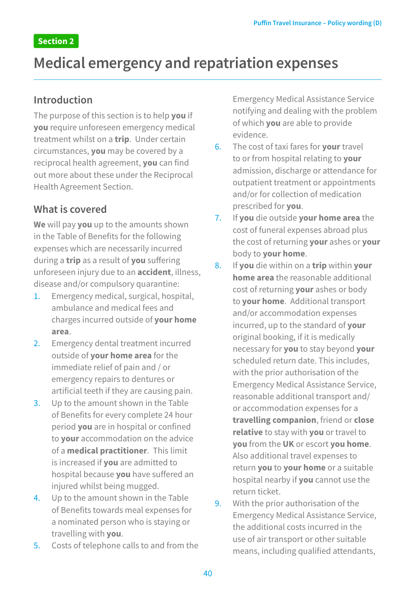## **Medical emergency and repatriation expenses**

### **Introduction**

The purpose of this section is to help **you** if **you** require unforeseen emergency medical treatment whilst on a **trip**. Under certain circumstances, **you** may be covered by a reciprocal health agreement, **you** can find out more about these under the Reciprocal Health Agreement Section.

## **What is covered**

**We** will pay **you** up to the amounts shown in the Table of Benefits for the following expenses which are necessarily incurred during a **trip** as a result of **you** suffering unforeseen injury due to an **accident**, illness, disease and/or compulsory quarantine:

- 1. Emergency medical, surgical, hospital, ambulance and medical fees and charges incurred outside of **your home area**.
- 2. Emergency dental treatment incurred outside of **your home area** for the immediate relief of pain and / or emergency repairs to dentures or artificial teeth if they are causing pain.
- 3. Up to the amount shown in the Table of Benefits for every complete 24 hour period **you** are in hospital or confined to **your** accommodation on the advice of a **medical practitioner**. This limit is increased if **you** are admitted to hospital because **you** have suffered an injured whilst being mugged.
- 4. Up to the amount shown in the Table of Benefits towards meal expenses for a nominated person who is staying or travelling with **you**.
- 5. Costs of telephone calls to and from the

Emergency Medical Assistance Service notifying and dealing with the problem of which **you** are able to provide evidence.

- 6. The cost of taxi fares for **your** travel to or from hospital relating to **your**  admission, discharge or attendance for outpatient treatment or appointments and/or for collection of medication prescribed for **you**.
- 7. If **you** die outside **your home area** the cost of funeral expenses abroad plus the cost of returning **your** ashes or **your**  body to **your home**.
- 8. If **you** die within on a **trip** within **your home area** the reasonable additional cost of returning **your** ashes or body to **your home**. Additional transport and/or accommodation expenses incurred, up to the standard of **your** original booking, if it is medically necessary for **you** to stay beyond **your**  scheduled return date. This includes, with the prior authorisation of the Emergency Medical Assistance Service, reasonable additional transport and/ or accommodation expenses for a **travelling companion**, friend or **close relative** to stay with **you** or travel to **you** from the **UK** or escort **you home**. Also additional travel expenses to return **you** to **your home** or a suitable hospital nearby if **you** cannot use the return ticket.
- 9. With the prior authorisation of the Emergency Medical Assistance Service, the additional costs incurred in the use of air transport or other suitable means, including qualified attendants,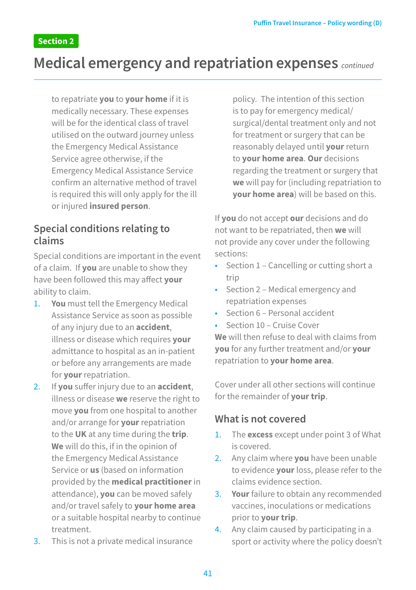## **Medical emergency and repatriation expenses** *continued*

to repatriate **you** to **your home** if it is medically necessary. These expenses will be for the identical class of travel utilised on the outward journey unless the Emergency Medical Assistance Service agree otherwise, if the Emergency Medical Assistance Service confirm an alternative method of travel is required this will only apply for the ill or injured **insured person**.

### **Special conditions relating to claims**

Special conditions are important in the event of a claim. If **you** are unable to show they have been followed this may affect **your** ability to claim.

- 1. **You** must tell the Emergency Medical Assistance Service as soon as possible of any injury due to an **accident**, illness or disease which requires **your** admittance to hospital as an in-patient or before any arrangements are made for **your** repatriation.
- 2. If **you** suffer injury due to an **accident**, illness or disease **we** reserve the right to move **you** from one hospital to another and/or arrange for **your** repatriation to the **UK** at any time during the **trip**. **We** will do this, if in the opinion of the Emergency Medical Assistance Service or **us** (based on information provided by the **medical practitioner** in attendance), **you** can be moved safely and/or travel safely to **your home area** or a suitable hospital nearby to continue treatment.
- 3. This is not a private medical insurance

policy. The intention of this section is to pay for emergency medical/ surgical/dental treatment only and not for treatment or surgery that can be reasonably delayed until **your** return to **your home area**. **Our** decisions regarding the treatment or surgery that **we** will pay for (including repatriation to **your home area**) will be based on this.

If **you** do not accept **our** decisions and do not want to be repatriated, then **we** will not provide any cover under the following sections:

- Section 1 Cancelling or cutting short a trip
- Section 2 Medical emergency and repatriation expenses
- Section 6 Personal accident
- Section 10 Cruise Cover

**We** will then refuse to deal with claims from **you** for any further treatment and/or **your** repatriation to **your home area**.

Cover under all other sections will continue for the remainder of **your trip**.

#### **What is not covered**

- 1. The **excess** except under point 3 of What is covered.
- 2. Any claim where **you** have been unable to evidence **your** loss, please refer to the claims evidence section.
- 3. **Your** failure to obtain any recommended vaccines, inoculations or medications prior to **your trip**.
- 4. Any claim caused by participating in a sport or activity where the policy doesn't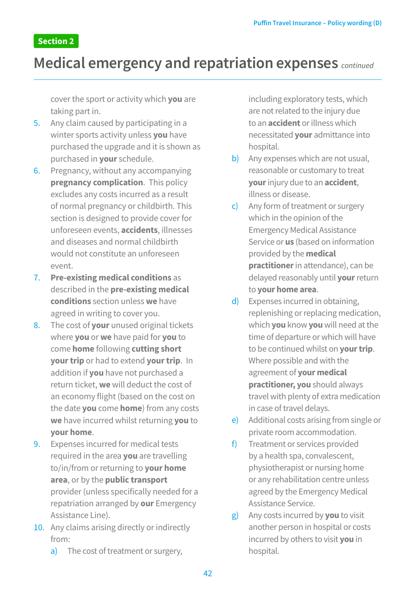## **Medical emergency and repatriation expenses** *continued*

cover the sport or activity which **you** are taking part in.

- 5. Any claim caused by participating in a winter sports activity unless **you** have purchased the upgrade and it is shown as purchased in **your** schedule.
- 6. Pregnancy, without any accompanying **pregnancy complication**. This policy excludes any costs incurred as a result of normal pregnancy or childbirth. This section is designed to provide cover for unforeseen events, **accidents**, illnesses and diseases and normal childbirth would not constitute an unforeseen event.
- 7. **Pre-existing medical conditions** as described in the **pre-existing medical conditions** section unless **we** have agreed in writing to cover you.
- 8. The cost of **your** unused original tickets where **you** or **we** have paid for **you** to come **home** following **cutting short your trip** or had to extend **your trip**. In addition if **you** have not purchased a return ticket, **we** will deduct the cost of an economy flight (based on the cost on the date **you** come **home**) from any costs **we** have incurred whilst returning **you** to **your home**.
- 9. Expenses incurred for medical tests required in the area **you** are travelling to/in/from or returning to **your home area**, or by the **public transport**  provider (unless specifically needed for a repatriation arranged by **our** Emergency Assistance Line).
- 10. Any claims arising directly or indirectly from:
	- a) The cost of treatment or surgery,

including exploratory tests, which are not related to the injury due to an **accident** or illness which necessitated **your** admittance into hospital.

- b) Any expenses which are not usual. reasonable or customary to treat **your** injury due to an **accident**, illness or disease.
- c) Any form of treatment or surgery which in the opinion of the Emergency Medical Assistance Service or **us** (based on information provided by the **medical practitioner** in attendance), can be delayed reasonably until **your** return to **your home area**.
- d) Expenses incurred in obtaining, replenishing or replacing medication, which **you** know **you** will need at the time of departure or which will have to be continued whilst on **your trip**. Where possible and with the agreement of **your medical practitioner, you** should always travel with plenty of extra medication in case of travel delays.
- e) Additional costs arising from single or private room accommodation.
- f) Treatment or services provided by a health spa, convalescent, physiotherapist or nursing home or any rehabilitation centre unless agreed by the Emergency Medical Assistance Service.
- g) Any costs incurred by **you** to visit another person in hospital or costs incurred by others to visit **you** in hospital.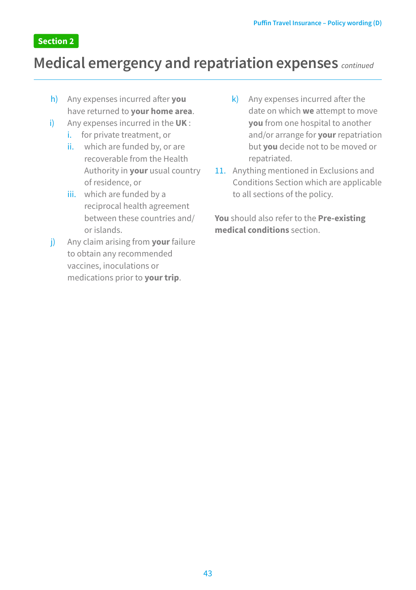## **Medical emergency and repatriation expenses** *continued*

- h) Any expenses incurred after **you** have returned to **your home area**.
- i) Any expenses incurred in the **UK** :
	- i. for private treatment, or
	- ii. which are funded by, or are recoverable from the Health Authority in **your** usual country of residence, or
	- iii. which are funded by a reciprocal health agreement between these countries and/ or islands.
- j) Any claim arising from **your** failure to obtain any recommended vaccines, inoculations or medications prior to **your trip**.
- k) Any expenses incurred after the date on which **we** attempt to move **you** from one hospital to another and/or arrange for **your** repatriation but **you** decide not to be moved or repatriated.
- 11. Anything mentioned in Exclusions and Conditions Section which are applicable to all sections of the policy.

**You** should also refer to the **Pre-existing medical conditions** section.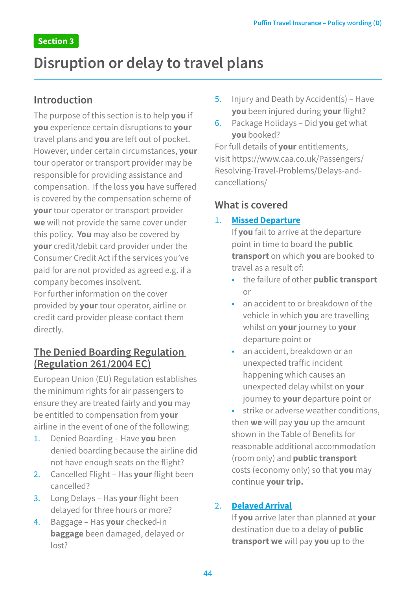## **Disruption or delay to travel plans**

### **Introduction**

The purpose of this section is to help **you** if **you** experience certain disruptions to **your** travel plans and **you** are left out of pocket. However, under certain circumstances, **your** tour operator or transport provider may be responsible for providing assistance and compensation. If the loss **you** have suffered is covered by the compensation scheme of **your** tour operator or transport provider **we** will not provide the same cover under this policy. **You** may also be covered by **your** credit/debit card provider under the Consumer Credit Act if the services you've paid for are not provided as agreed e.g. if a company becomes insolvent.

For further information on the cover provided by **your** tour operator, airline or credit card provider please contact them directly.

## **The Denied Boarding Regulation (Regulation 261/2004 EC)**

European Union (EU) Regulation establishes the minimum rights for air passengers to ensure they are treated fairly and **you** may be entitled to compensation from **your** airline in the event of one of the following:

- 1. Denied Boarding Have **you** been denied boarding because the airline did not have enough seats on the flight?
- 2. Cancelled Flight Has **your** flight been cancelled?
- 3. Long Delays Has **your** flight been delayed for three hours or more?
- 4. Baggage Has **your** checked-in **baggage** been damaged, delayed or  $|0<sub>0</sub> + 2$
- 5. Injury and Death by Accident(s) Have **you** been injured during **your** flight?
- 6. Package Holidays Did **you** get what **you** booked?

For full details of **your** entitlements, visit https://www.caa.co.uk/Passengers/ Resolving-Travel-Problems/Delays-andcancellations/

## **What is covered**

#### 1. **Missed Departure**

If **you** fail to arrive at the departure point in time to board the **public transport** on which **you** are booked to travel as a result of:

- the failure of other **public transport** or
- an accident to or breakdown of the vehicle in which **you** are travelling whilst on **your** journey to **your** departure point or
- an accident, breakdown or an unexpected traffic incident happening which causes an unexpected delay whilst on **your** journey to **your** departure point or
- strike or adverse weather conditions, then **we** will pay **you** up the amount shown in the Table of Benefits for reasonable additional accommodation (room only) and **public transport** costs (economy only) so that **you** may continue **your trip.**

#### 2. **Delayed Arrival**

If **you** arrive later than planned at **your**  destination due to a delay of **public transport we** will pay **you** up to the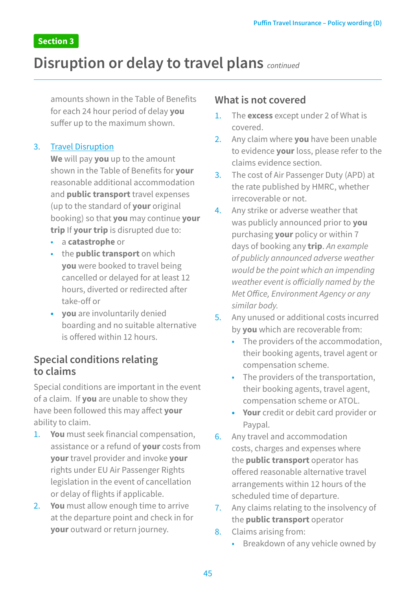## **Disruption or delay to travel plans** *continued*

amounts shown in the Table of Benefits for each 24 hour period of delay **you**  suffer up to the maximum shown.

#### 3. Travel Disruption

**We** will pay **you** up to the amount shown in the Table of Benefits for **your** reasonable additional accommodation and **public transport** travel expenses (up to the standard of **your** original booking) so that **you** may continue **your trip** If **your trip** is disrupted due to:

- a **catastrophe** or
- the **public transport** on which **you** were booked to travel being cancelled or delayed for at least 12 hours, diverted or redirected after take-off or
- **• you** are involuntarily denied boarding and no suitable alternative is offered within 12 hours.

### **Special conditions relating to claims**

Special conditions are important in the event of a claim. If **you** are unable to show they have been followed this may affect **your** ability to claim.

- 1. **You** must seek financial compensation, assistance or a refund of **your** costs from **your** travel provider and invoke **your** rights under EU Air Passenger Rights legislation in the event of cancellation or delay of flights if applicable.
- 2. **You** must allow enough time to arrive at the departure point and check in for **your** outward or return journey.

### **What is not covered**

- 1. The **excess** except under 2 of What is covered.
- 2. Any claim where **you** have been unable to evidence **your** loss, please refer to the claims evidence section.
- 3. The cost of Air Passenger Duty (APD) at the rate published by HMRC, whether irrecoverable or not.
- 4. Any strike or adverse weather that was publicly announced prior to **you**  purchasing **your** policy or within 7 days of booking any **trip**. *An example of publicly announced adverse weather would be the point which an impending weather event is officially named by the Met Office, Environment Agency or any similar body.*
- 5. Any unused or additional costs incurred by **you** which are recoverable from:
	- The providers of the accommodation, their booking agents, travel agent or compensation scheme.
	- The providers of the transportation, their booking agents, travel agent, compensation scheme or ATOL.
	- **• Your** credit or debit card provider or Paypal.
- 6. Any travel and accommodation costs, charges and expenses where the **public transport** operator has offered reasonable alternative travel arrangements within 12 hours of the scheduled time of departure.
- 7. Any claims relating to the insolvency of the **public transport** operator
- 8. Claims arising from:
	- Breakdown of any vehicle owned by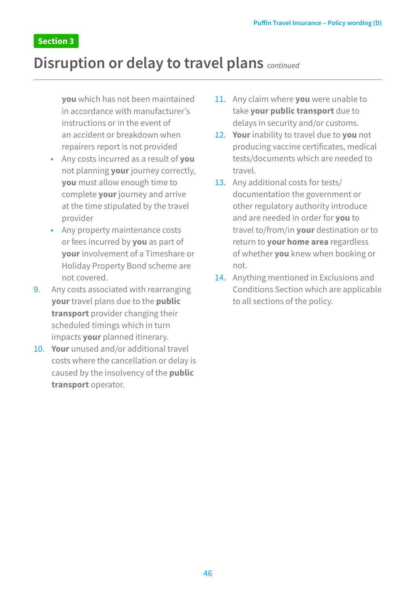## **Disruption or delay to travel plans** *continued*

**you** which has not been maintained in accordance with manufacturer's instructions or in the event of an accident or breakdown when repairers report is not provided

- Any costs incurred as a result of **you** not planning **your** journey correctly, **you** must allow enough time to complete **your** journey and arrive at the time stipulated by the travel provider
- Any property maintenance costs or fees incurred by **you** as part of **your** involvement of a Timeshare or Holiday Property Bond scheme are not covered.
- 9. Any costs associated with rearranging **your** travel plans due to the **public transport** provider changing their scheduled timings which in turn impacts **your** planned itinerary.
- 10. **Your** unused and/or additional travel costs where the cancellation or delay is caused by the insolvency of the **public transport** operator.
- 11. Any claim where **you** were unable to take **your public transport** due to delays in security and/or customs.
- 12. **Your** inability to travel due to **you** not producing vaccine certificates, medical tests/documents which are needed to travel.
- 13. Any additional costs for tests/ documentation the government or other regulatory authority introduce and are needed in order for **you** to travel to/from/in **your** destination or to return to **your home area** regardless of whether **you** knew when booking or not.
- 14. Anything mentioned in Exclusions and Conditions Section which are applicable to all sections of the policy.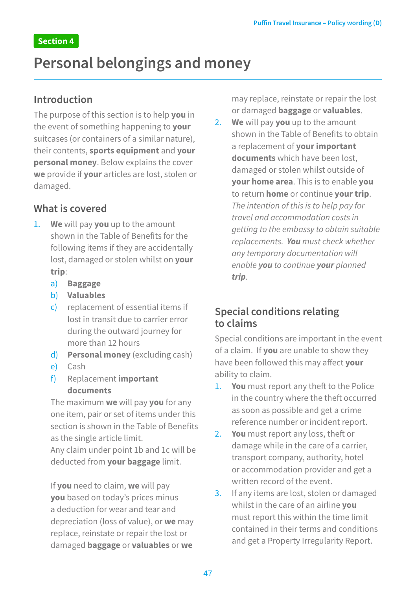## **Personal belongings and money**

### **Introduction**

The purpose of this section is to help **you** in the event of something happening to **your** suitcases (or containers of a similar nature), their contents, **sports equipment** and **your personal money**. Below explains the cover **we** provide if **your** articles are lost, stolen or damaged.

## **What is covered**

- 1. **We** will pay **you** up to the amount shown in the Table of Benefits for the following items if they are accidentally lost, damaged or stolen whilst on **your trip**:
	- a) **Baggage**
	- b) **Valuables**
	- c) replacement of essential items if lost in transit due to carrier error during the outward journey for more than 12 hours
	- d) **Personal money** (excluding cash)
	- e) Cash
	- f) Replacement **important documents**

The maximum **we** will pay **you** for any one item, pair or set of items under this section is shown in the Table of Benefits as the single article limit.

Any claim under point 1b and 1c will be deducted from **your baggage** limit.

If **you** need to claim, **we** will pay **you** based on today's prices minus a deduction for wear and tear and depreciation (loss of value), or **we** may replace, reinstate or repair the lost or damaged **baggage** or **valuables** or **we**

may replace, reinstate or repair the lost or damaged **baggage** or **valuables**.

2. **We** will pay **you** up to the amount shown in the Table of Benefits to obtain a replacement of **your important documents** which have been lost, damaged or stolen whilst outside of **your home area**. This is to enable **you** to return **home** or continue **your trip**. *The intention of this is to help pay for travel and accommodation costs in getting to the embassy to obtain suitable replacements. You must check whether any temporary documentation will enable you to continue your planned trip.*

## **Special conditions relating to claims**

Special conditions are important in the event of a claim. If **you** are unable to show they have been followed this may affect **your** ability to claim.

- 1. **You** must report any theft to the Police in the country where the theft occurred as soon as possible and get a crime reference number or incident report.
- 2. **You** must report any loss, theft or damage while in the care of a carrier, transport company, authority, hotel or accommodation provider and get a written record of the event.
- 3. If any items are lost, stolen or damaged whilst in the care of an airline **you**  must report this within the time limit contained in their terms and conditions and get a Property Irregularity Report.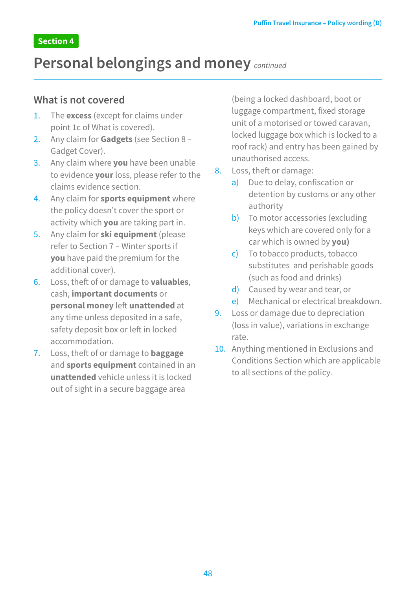## **Personal belongings and money** *continued*

#### **What is not covered**

- 1. The **excess** (except for claims under point 1c of What is covered).
- 2. Any claim for **Gadgets** (see Section 8 Gadget Cover).
- 3. Any claim where **you** have been unable to evidence **your** loss, please refer to the claims evidence section.
- 4. Any claim for **sports equipment** where the policy doesn't cover the sport or activity which **you** are taking part in.
- 5. Any claim for **ski equipment** (please refer to Section 7 – Winter sports if **you** have paid the premium for the additional cover).
- 6. Loss, theft of or damage to **valuables**, cash, **important documents** or **personal money** left **unattended** at any time unless deposited in a safe, safety deposit box or left in locked accommodation.
- 7. Loss, theft of or damage to **baggage**  and **sports equipment** contained in an **unattended** vehicle unless it is locked out of sight in a secure baggage area

(being a locked dashboard, boot or luggage compartment, fixed storage unit of a motorised or towed caravan, locked luggage box which is locked to a roof rack) and entry has been gained by unauthorised access.

- 8. Loss, theft or damage:
	- a) Due to delay, confiscation or detention by customs or any other authority
	- b) To motor accessories (excluding keys which are covered only for a car which is owned by **you)**
	- c) To tobacco products, tobacco substitutes and perishable goods (such as food and drinks)
	- d) Caused by wear and tear, or
	- e) Mechanical or electrical breakdown.
- 9. Loss or damage due to depreciation (loss in value), variations in exchange rate.
- 10. Anything mentioned in Exclusions and Conditions Section which are applicable to all sections of the policy.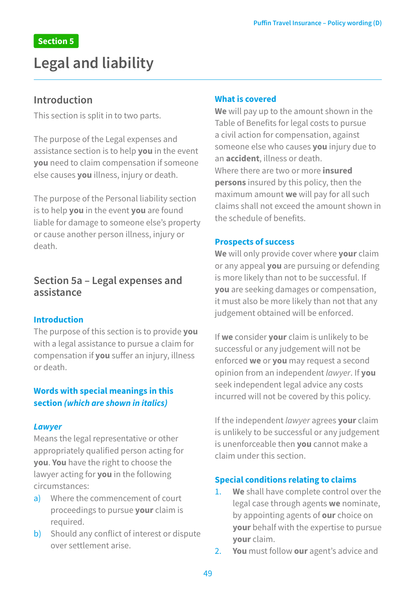## **Legal and liability**

### **Introduction**

This section is split in to two parts.

The purpose of the Legal expenses and assistance section is to help **you** in the event **you** need to claim compensation if someone else causes **you** illness, injury or death.

The purpose of the Personal liability section is to help **you** in the event **you** are found liable for damage to someone else's property or cause another person illness, injury or death.

### **Section 5a – Legal expenses and assistance**

#### **Introduction**

The purpose of this section is to provide **you**  with a legal assistance to pursue a claim for compensation if **you** suffer an injury, illness or death.

#### **Words with special meanings in this section** *(which are shown in italics)*

#### *Lawyer*

Means the legal representative or other appropriately qualified person acting for **you**. **You** have the right to choose the lawyer acting for **you** in the following circumstances:

- a) Where the commencement of court proceedings to pursue **your** claim is required.
- b) Should any conflict of interest or dispute over settlement arise.

#### **What is covered**

**We** will pay up to the amount shown in the Table of Benefits for legal costs to pursue a civil action for compensation, against someone else who causes **you** injury due to an **accident**, illness or death. Where there are two or more **insured persons** insured by this policy, then the maximum amount **we** will pay for all such claims shall not exceed the amount shown in the schedule of benefits.

#### **Prospects of success**

**We** will only provide cover where **your** claim or any appeal **you** are pursuing or defending is more likely than not to be successful. If **you** are seeking damages or compensation, it must also be more likely than not that any judgement obtained will be enforced.

If **we** consider **your** claim is unlikely to be successful or any judgement will not be enforced **we** or **you** may request a second opinion from an independent *lawyer*. If **you**  seek independent legal advice any costs incurred will not be covered by this policy.

If the independent *lawyer* agrees **your** claim is unlikely to be successful or any judgement is unenforceable then **you** cannot make a claim under this section.

#### **Special conditions relating to claims**

- 1. **We** shall have complete control over the legal case through agents **we** nominate, by appointing agents of **our** choice on **your** behalf with the expertise to pursue **your** claim.
- 2. **You** must follow **our** agent's advice and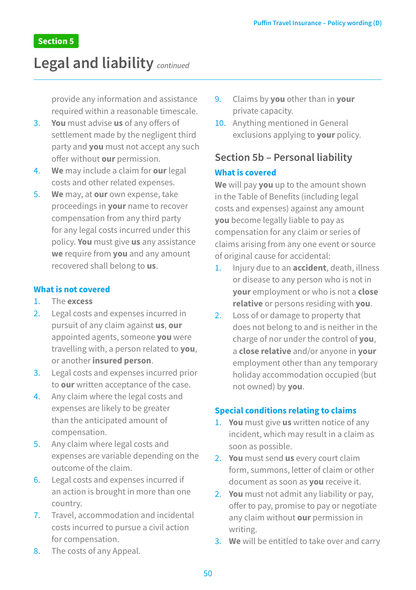## **Legal and liability** *continued*

provide any information and assistance required within a reasonable timescale.

- 3. **You** must advise **us** of any offers of settlement made by the negligent third party and **you** must not accept any such offer without **our** permission.
- 4. **We** may include a claim for **our** legal costs and other related expenses.
- 5. **We** may, at **our** own expense, take proceedings in **your** name to recover compensation from any third party for any legal costs incurred under this policy. **You** must give **us** any assistance **we** require from **you** and any amount recovered shall belong to **us**.

#### **What is not covered**

- 1. The **excess**
- 2. Legal costs and expenses incurred in pursuit of any claim against **us**, **our**  appointed agents, someone **you** were travelling with, a person related to **you**, or another **insured person**.
- 3. Legal costs and expenses incurred prior to **our** written acceptance of the case.
- 4. Any claim where the legal costs and expenses are likely to be greater than the anticipated amount of compensation.
- 5. Any claim where legal costs and expenses are variable depending on the outcome of the claim.
- 6. Legal costs and expenses incurred if an action is brought in more than one country.
- 7. Travel, accommodation and incidental costs incurred to pursue a civil action for compensation.
- 8. The costs of any Appeal.
- 9. Claims by **you** other than in **your**  private capacity.
- 10. Anything mentioned in General exclusions applying to **your** policy.

## **Section 5b – Personal liability What is covered**

**We** will pay **you** up to the amount shown in the Table of Benefits (including legal costs and expenses) against any amount **you** become legally liable to pay as compensation for any claim or series of claims arising from any one event or source of original cause for accidental:

- 1. Injury due to an **accident**, death, illness or disease to any person who is not in **your** employment or who is not a **close relative** or persons residing with **you**.
- 2. Loss of or damage to property that does not belong to and is neither in the charge of nor under the control of **you**, a **close relative** and/or anyone in **your**  employment other than any temporary holiday accommodation occupied (but not owned) by **you**.

#### **Special conditions relating to claims**

- 1. **You** must give **us** written notice of any incident, which may result in a claim as soon as possible.
- 2. **You** must send **us** every court claim form, summons, letter of claim or other document as soon as **you** receive it.
- 2. **You** must not admit any liability or pay, offer to pay, promise to pay or negotiate any claim without **our** permission in writing.
- 3. **We** will be entitled to take over and carry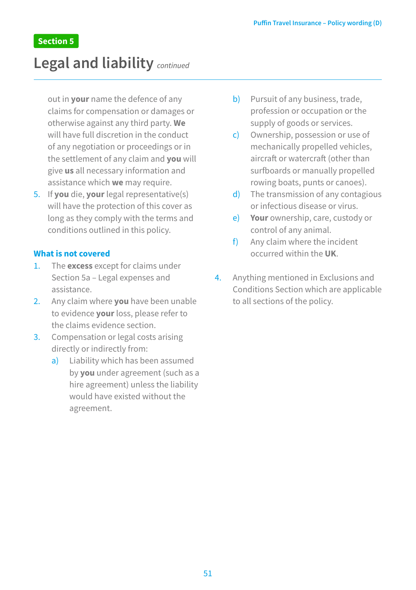## **Legal and liability** *continued*

out in **your** name the defence of any claims for compensation or damages or otherwise against any third party. **We** will have full discretion in the conduct of any negotiation or proceedings or in the settlement of any claim and **you** will give **us** all necessary information and assistance which **we** may require.

5. If **you** die, **your** legal representative(s) will have the protection of this cover as long as they comply with the terms and conditions outlined in this policy.

#### **What is not covered**

- 1. The **excess** except for claims under Section 5a – Legal expenses and assistance.
- 2. Any claim where **you** have been unable to evidence **your** loss, please refer to the claims evidence section.
- 3. Compensation or legal costs arising directly or indirectly from:
	- a) Liability which has been assumed by **you** under agreement (such as a hire agreement) unless the liability would have existed without the agreement.
- b) Pursuit of any business, trade, profession or occupation or the supply of goods or services.
- c) Ownership, possession or use of mechanically propelled vehicles, aircraft or watercraft (other than surfboards or manually propelled rowing boats, punts or canoes).
- d) The transmission of any contagious or infectious disease or virus.
- e) **Your** ownership, care, custody or control of any animal.
- f) Any claim where the incident occurred within the **UK**.
- 4. Anything mentioned in Exclusions and Conditions Section which are applicable to all sections of the policy.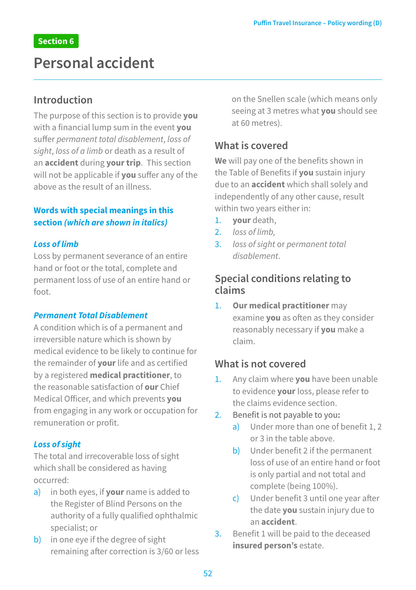## **Personal accident**

### **Introduction**

The purpose of this section is to provide **you**  with a financial lump sum in the event **you** suffer *permanent total disablement*, *loss of sight*, *loss of a limb* or death as a result of an **accident** during **your trip**. This section will not be applicable if **you** suffer any of the above as the result of an illness.

#### **Words with special meanings in this section** *(which are shown in italics)*

#### *Loss of limb*

Loss by permanent severance of an entire hand or foot or the total, complete and permanent loss of use of an entire hand or foot.

#### *Permanent Total Disablement*

A condition which is of a permanent and irreversible nature which is shown by medical evidence to be likely to continue for the remainder of **your** life and as certified by a registered **medical practitioner**, to the reasonable satisfaction of **our** Chief Medical Officer, and which prevents **you**  from engaging in any work or occupation for remuneration or profit.

#### *Loss of sight*

The total and irrecoverable loss of sight which shall be considered as having occurred:

- a) in both eyes, if **your** name is added to the Register of Blind Persons on the authority of a fully qualified ophthalmic specialist; or
- b) in one eye if the degree of sight remaining after correction is 3/60 or less

on the Snellen scale (which means only seeing at 3 metres what **you** should see at 60 metres).

### **What is covered**

**We** will pay one of the benefits shown in the Table of Benefits if **you** sustain injury due to an **accident** which shall solely and independently of any other cause, result within two years either in:

- 1. **your** death,
- 2. *loss of limb,*
- 3. *loss of sight* or *permanent total disablement*.

### **Special conditions relating to claims**

1. **Our medical practitioner** may examine **you** as often as they consider reasonably necessary if **you** make a claim.

### **What is not covered**

- 1. Any claim where **you** have been unable to evidence **your** loss, please refer to the claims evidence section.
- 2. Benefit is not payable to you**:**
	- a) Under more than one of benefit 1, 2 or 3 in the table above.
	- b) Under benefit 2 if the permanent loss of use of an entire hand or foot is only partial and not total and complete (being 100%).
	- c) Under benefit 3 until one year after the date **you** sustain injury due to an **accident**.
- 3. Benefit 1 will be paid to the deceased **insured person's** estate.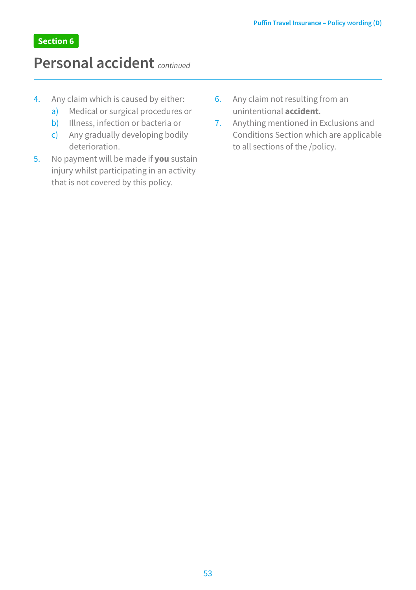## **Personal accident** *continued*

- 4. Any claim which is caused by either:
	- a) Medical or surgical procedures or
	- b) Illness, infection or bacteria or
	- c) Any gradually developing bodily deterioration.
- 5. No payment will be made if **you** sustain injury whilst participating in an activity that is not covered by this policy.
- 6. Any claim not resulting from an unintentional **accident**.
- 7. Anything mentioned in Exclusions and Conditions Section which are applicable to all sections of the /policy.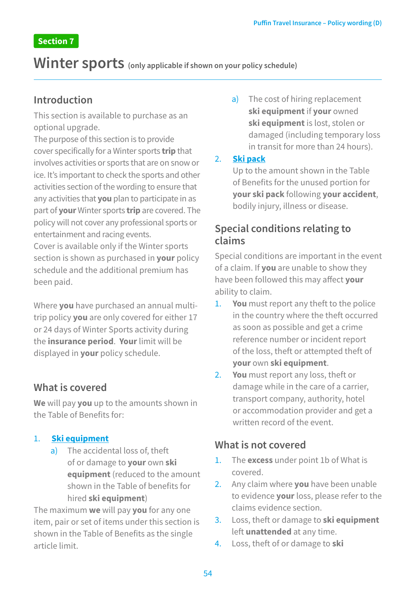## **Winter sports (only applicable if shown on your policy schedule)**

### **Introduction**

This section is available to purchase as an optional upgrade.

The purpose of this section is to provide cover specifically for a Winter sports **trip** that involves activities or sports that are on snow or ice. It's important to check the sports and other activities section of the wording to ensure that any activities that **you** plan to participate in as part of **your** Winter sports **trip** are covered. The policy will not cover any professional sports or entertainment and racing events.

Cover is available only if the Winter sports section is shown as purchased in **your** policy schedule and the additional premium has been paid.

Where **you** have purchased an annual multitrip policy **you** are only covered for either 17 or 24 days of Winter Sports activity during the **insurance period**. **Your** limit will be displayed in **your** policy schedule.

### **What is covered**

**We** will pay **you** up to the amounts shown in the Table of Benefits for:

#### 1. **Ski equipment**

a) The accidental loss of, theft of or damage to **your** own **ski equipment** (reduced to the amount shown in the Table of benefits for hired **ski equipment**)

The maximum **we** will pay **you** for any one item, pair or set of items under this section is shown in the Table of Benefits as the single article limit.

a) The cost of hiring replacement **ski equipment** if **your** owned **ski equipment** is lost, stolen or damaged (including temporary loss in transit for more than 24 hours).

#### 2. **Ski pack**

Up to the amount shown in the Table of Benefits for the unused portion for **your ski pack** following **your accident**, bodily injury, illness or disease.

## **Special conditions relating to claims**

Special conditions are important in the event of a claim. If **you** are unable to show they have been followed this may affect **your**  ability to claim.

- 1. **You** must report any theft to the police in the country where the theft occurred as soon as possible and get a crime reference number or incident report of the loss, theft or attempted theft of **your** own **ski equipment**.
- 2. **You** must report any loss, theft or damage while in the care of a carrier, transport company, authority, hotel or accommodation provider and get a written record of the event.

## **What is not covered**

- 1. The **excess** under point 1b of What is covered.
- 2. Any claim where **you** have been unable to evidence **your** loss, please refer to the claims evidence section.
- 3. Loss, theft or damage to **ski equipment**  left **unattended** at any time.
- 4. Loss, theft of or damage to **ski**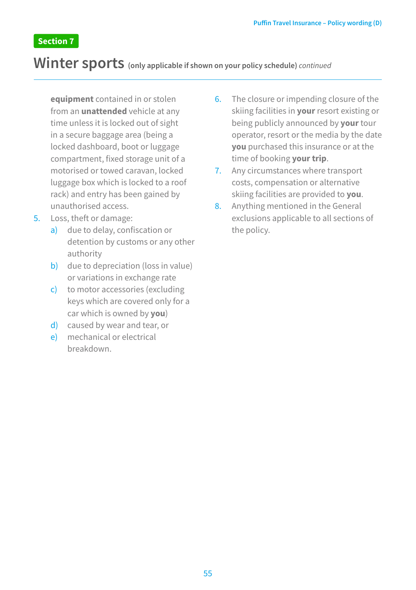## **Winter sports (only applicable if shown on your policy schedule)** *continued*

**equipment** contained in or stolen from an **unattended** vehicle at any time unless it is locked out of sight in a secure baggage area (being a locked dashboard, boot or luggage compartment, fixed storage unit of a motorised or towed caravan, locked luggage box which is locked to a roof rack) and entry has been gained by unauthorised access.

- 5. Loss, theft or damage:
	- a) due to delay, confiscation or detention by customs or any other authority
	- b) due to depreciation (loss in value) or variations in exchange rate
	- c) to motor accessories (excluding keys which are covered only for a car which is owned by **you**)
	- d) caused by wear and tear, or
	- e) mechanical or electrical breakdown.
- 6. The closure or impending closure of the skiing facilities in **your** resort existing or being publicly announced by **your** tour operator, resort or the media by the date **you** purchased this insurance or at the time of booking **your trip**.
- 7. Any circumstances where transport costs, compensation or alternative skiing facilities are provided to **you**.
- 8. Anything mentioned in the General exclusions applicable to all sections of the policy.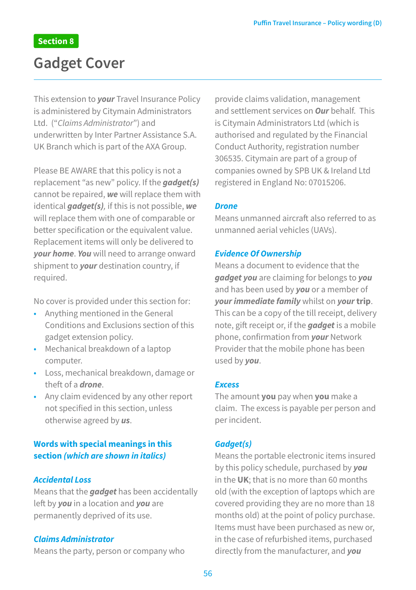## **Gadget Cover**

This extension to *your* Travel Insurance Policy is administered by Citymain Administrators Ltd. ("*Claims Administrator*") and underwritten by Inter Partner Assistance S.A. UK Branch which is part of the AXA Group.

Please BE AWARE that this policy is not a replacement "as new" policy. If the *gadget(s)* cannot be repaired, *we* will replace them with identical *gadget(s),* if this is not possible, *we* will replace them with one of comparable or better specification or the equivalent value. Replacement items will only be delivered to *your home*. *You* will need to arrange onward shipment to *your* destination country, if required.

No cover is provided under this section for:

- Anything mentioned in the General Conditions and Exclusions section of this gadget extension policy.
- Mechanical breakdown of a laptop computer.
- Loss, mechanical breakdown, damage or theft of a *drone*.
- Any claim evidenced by any other report not specified in this section, unless otherwise agreed by *us*.

#### **Words with special meanings in this section** *(which are shown in italics)*

#### *Accidental Loss*

Means that the *gadget* has been accidentally left by *you* in a location and *you* are permanently deprived of its use.

#### *Claims Administrator*

Means the party, person or company who

provide claims validation, management and settlement services on *Our* behalf. This is Citymain Administrators Ltd (which is authorised and regulated by the Financial Conduct Authority, registration number 306535. Citymain are part of a group of companies owned by SPB UK & Ireland Ltd registered in England No: 07015206.

#### *Drone*

Means unmanned aircraft also referred to as unmanned aerial vehicles (UAVs).

#### *Evidence Of Ownership*

Means a document to evidence that the *gadget you* are claiming for belongs to *you* and has been used by *you* or a member of *yourimmediate family* whilst on *your***trip**. This can be a copy of the till receipt, delivery note, gift receipt or, if the *gadget* is a mobile phone, confirmation from *your* Network Provider that the mobile phone has been used by *you*.

#### *Excess*

The amount **you** pay when **you** make a claim. The excess is payable per person and per incident.

#### *Gadget(s)*

Means the portable electronic items insured by this policy schedule, purchased by *you* in the **UK**; that is no more than 60 months old (with the exception of laptops which are covered providing they are no more than 18 months old) at the point of policy purchase. Items must have been purchased as new or, in the case of refurbished items, purchased directly from the manufacturer, and *you*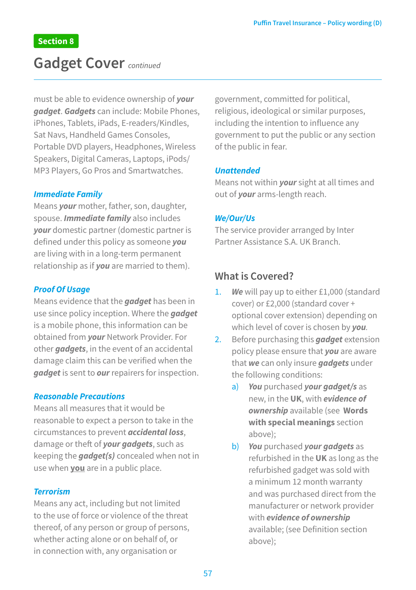## **Gadget Cover** *continued*

must be able to evidence ownership of *your gadget*. *Gadgets* can include: Mobile Phones, iPhones, Tablets, iPads, E-readers/Kindles, Sat Navs, Handheld Games Consoles, Portable DVD players, Headphones, Wireless Speakers, Digital Cameras, Laptops, iPods/ MP3 Players, Go Pros and Smartwatches.

#### *Immediate Family*

Means *your* mother, father, son, daughter, spouse. *Immediate family* also includes *your* domestic partner (domestic partner is defined under this policy as someone *you* are living with in a long-term permanent relationship as if *you* are married to them).

#### *Proof Of Usage*

Means evidence that the *gadget* has been in use since policy inception. Where the *gadget* is a mobile phone, this information can be obtained from *your* Network Provider. For other *gadgets*, in the event of an accidental damage claim this can be verified when the *gadget* is sent to *our* repairers for inspection.

#### *Reasonable Precautions*

Means all measures that it would be reasonable to expect a person to take in the circumstances to prevent *accidental loss*, damage or theft of *your gadgets*, such as keeping the *gadget(s)* concealed when not in use when **you** are in a public place.

#### *Terrorism*

Means any act, including but not limited to the use of force or violence of the threat thereof, of any person or group of persons, whether acting alone or on behalf of, or in connection with, any organisation or

government, committed for political, religious, ideological or similar purposes, including the intention to influence any government to put the public or any section of the public in fear.

#### *Unattended*

Means not within *your* sight at all times and out of *your* arms-length reach.

#### *We/Our/Us*

The service provider arranged by Inter Partner Assistance S.A. UK Branch.

#### **What is Covered?**

- 1. *We* will pay up to either £1,000 (standard cover) or £2,000 (standard cover + optional cover extension) depending on which level of cover is chosen by *you.*
- 2. Before purchasing this *gadget* extension policy please ensure that *you* are aware that *we* can only insure *gadgets* under the following conditions:
	- a) *You* purchased *your gadget/s* as new, in the **UK**, with *evidence of ownership* available (see **Words with special meanings** section above);
	- b) *You* purchased *your gadgets* as refurbished in the **UK** as long as the refurbished gadget was sold with a minimum 12 month warranty and was purchased direct from the manufacturer or network provider with *evidence of ownership* available; (see Definition section above);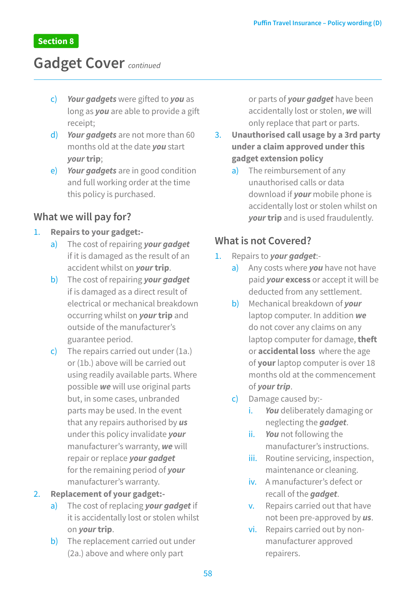## **Gadget Cover** *continued*

- c) *Your gadgets* were gifted to *you* as long as *you* are able to provide a gift receipt;
- d) *Your gadgets* are not more than 60 months old at the date *you* start *your***trip**;
- e) *Your gadgets* are in good condition and full working order at the time this policy is purchased.

### **What we will pay for?**

#### 1. **Repairs to your gadget:-**

- a) The cost of repairing *your gadget* if it is damaged as the result of an accident whilst on *your***trip**.
- b) The cost of repairing *your gadget* if is damaged as a direct result of electrical or mechanical breakdown occurring whilst on *your***trip** and outside of the manufacturer's guarantee period.
- c) The repairs carried out under (1a.) or (1b.) above will be carried out using readily available parts. Where possible *we* will use original parts but, in some cases, unbranded parts may be used. In the event that any repairs authorised by *us* under this policy invalidate *your* manufacturer's warranty, *we* will repair or replace *your gadget* for the remaining period of *your* manufacturer's warranty.

#### 2. **Replacement of your gadget:-**

- a) The cost of replacing *your gadget* if it is accidentally lost or stolen whilst on *your* **trip**.
- b) The replacement carried out under (2a.) above and where only part

or parts of *your gadget* have been accidentally lost or stolen, *we* will only replace that part or parts.

- 3. **Unauthorised call usage by a 3rd party under a claim approved under this gadget extension policy**
	- a) The reimbursement of any unauthorised calls or data download if *your* mobile phone is accidentally lost or stolen whilst on *your* **trip** and is used fraudulently.

### **What is not Covered?**

- 1. Repairs to *your gadget*:
	- a) Any costs where *you* have not have paid *your* **excess** or accept it will be deducted from any settlement.
	- b) Mechanical breakdown of *your* laptop computer. In addition *we* do not cover any claims on any laptop computer for damage, **theft** or **accidental loss** where the age of **your** laptop computer is over 18 months old at the commencement of *your trip*.
	- c) Damage caused by:
		- i. *You* deliberately damaging or neglecting the *gadget*.
		- ii. *You* not following the manufacturer's instructions.
		- iii. Routine servicing, inspection, maintenance or cleaning.
		- iv. A manufacturer's defect or recall of the *gadget*.
		- v. Repairs carried out that have not been pre-approved by *us*.
		- vi. Repairs carried out by nonmanufacturer approved repairers.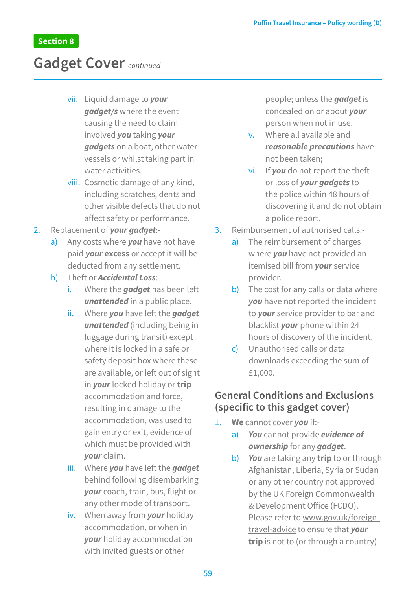## **Gadget Cover** *continued*

- vii. Liquid damage to *your gadget/s* where the event causing the need to claim involved *you* taking *your gadgets* on a boat, other water vessels or whilst taking part in water activities.
- viii. Cosmetic damage of any kind, including scratches, dents and other visible defects that do not affect safety or performance.
- 2. Replacement of *your gadget*:
	- a) Any costs where *you* have not have paid *your* **excess** or accept it will be deducted from any settlement.
	- b) Theft or *Accidental Loss*:
		- i. Where the *gadget* has been left *unattended* in a public place.
		- ii. Where *you* have left the *gadget unattended* (including being in luggage during transit) except where it is locked in a safe or safety deposit box where these are available, or left out of sight in *your* locked holiday or **trip** accommodation and force, resulting in damage to the accommodation, was used to gain entry or exit, evidence of which must be provided with *your* claim.
		- iii. Where *you* have left the *gadget* behind following disembarking *your* coach, train, bus, flight or any other mode of transport.
		- iv. When away from *your* holiday accommodation, or when in *your* holiday accommodation with invited guests or other

people; unless the *gadget* is concealed on or about *your* person when not in use.

- v. Where all available and *reasonable precautions* have not been taken;
- vi. If *you* do not report the theft or loss of *your gadgets* to the police within 48 hours of discovering it and do not obtain a police report.
- 3. Reimbursement of authorised calls:
	- a) The reimbursement of charges where *you* have not provided an itemised bill from *your* service provider.
	- b) The cost for any calls or data where *you* have not reported the incident to *your* service provider to bar and blacklist *your* phone within 24 hours of discovery of the incident.
	- c) Unauthorised calls or data downloads exceeding the sum of £1,000.

### **General Conditions and Exclusions (specific to this gadget cover)**

- 1. **We** cannot cover *you* if:
	- a) *You* cannot provide *evidence of ownership* for any *gadget*.
	- b) *You* are taking any **trip** to or through Afghanistan, Liberia, Syria or Sudan or any other country not approved by the UK Foreign Commonwealth & Development Office (FCDO). Please refer to www.gov.uk/foreigntravel-advice to ensure that *your* **trip** is not to (or through a country)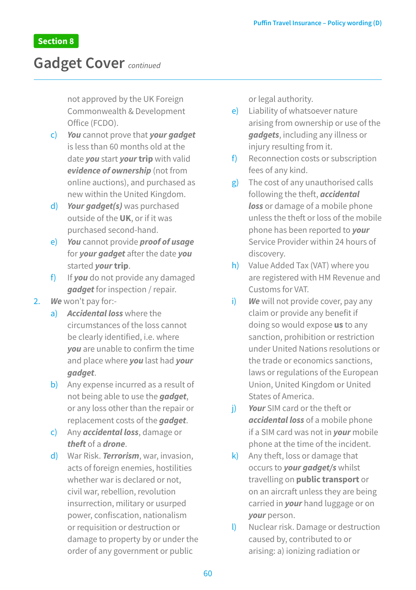## **Gadget Cover** *continued*

not approved by the UK Foreign Commonwealth & Development Office (FCDO).

- c) *You* cannot prove that *your gadget* is less than 60 months old at the date *you* start *your* **trip** with valid *evidence of ownership* (not from online auctions), and purchased as new within the United Kingdom.
- d) *Your gadget(s)* was purchased outside of the **UK**, or if it was purchased second-hand.
- e) *You* cannot provide *proof of usage* for *your gadget* after the date *you* started *your* **trip**.
- f) If *you* do not provide any damaged *gadget* for inspection / repair.
- 2. *We* won't pay for:
	- a) *Accidental loss* where the circumstances of the loss cannot be clearly identified, i.e. where *you* are unable to confirm the time and place where *you* last had *your gadget*.
	- b) Any expense incurred as a result of not being able to use the *gadget*, or any loss other than the repair or replacement costs of the *gadget*.
	- c) Any *accidental loss*, damage or *theft* of a *drone*.
	- d) War Risk. *Terrorism*, war, invasion, acts of foreign enemies, hostilities whether war is declared or not, civil war, rebellion, revolution insurrection, military or usurped power, confiscation, nationalism or requisition or destruction or damage to property by or under the order of any government or public

or legal authority.

e) Liability of whatsoever nature arising from ownership or use of the *gadgets*, including any illness or injury resulting from it.

- f) Reconnection costs or subscription fees of any kind.
- g) The cost of any unauthorised calls following the theft, *accidental loss* or damage of a mobile phone unless the theft or loss of the mobile phone has been reported to *your* Service Provider within 24 hours of discovery.
- h) Value Added Tax (VAT) where you are registered with HM Revenue and Customs for VAT.
- i) **We** will not provide cover, pay any claim or provide any benefit if doing so would expose **us** to any sanction, prohibition or restriction under United Nations resolutions or the trade or economics sanctions, laws or regulations of the European Union, United Kingdom or United States of America.
- j) *Your* SIM card or the theft or *accidental loss* of a mobile phone if a SIM card was not in *your* mobile phone at the time of the incident.
- k) Any theft, loss or damage that occurs to *your gadget/s* whilst travelling on **public transport** or on an aircraft unless they are being carried in *your* hand luggage or on *your* person.
- l) Nuclear risk. Damage or destruction caused by, contributed to or arising: a) ionizing radiation or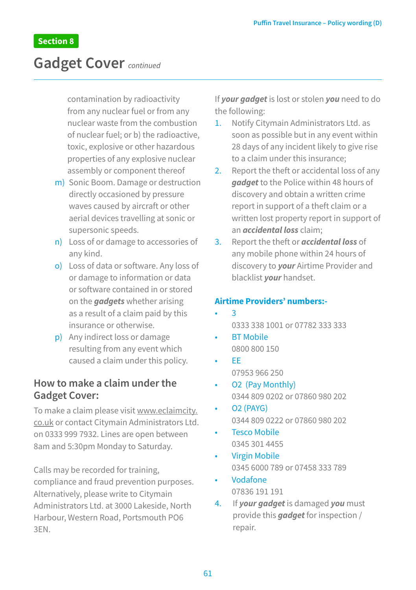## **Gadget Cover** *continued*

contamination by radioactivity from any nuclear fuel or from any nuclear waste from the combustion of nuclear fuel; or b) the radioactive, toxic, explosive or other hazardous properties of any explosive nuclear assembly or component thereof

- m) Sonic Boom. Damage or destruction directly occasioned by pressure waves caused by aircraft or other aerial devices travelling at sonic or supersonic speeds.
- n) Loss of or damage to accessories of any kind.
- o) Loss of data or software. Any loss of or damage to information or data or software contained in or stored on the *gadgets* whether arising as a result of a claim paid by this insurance or otherwise.
- p) Any indirect loss or damage resulting from any event which caused a claim under this policy.

### **How to make a claim under the Gadget Cover:**

To make a claim please visit www.eclaimcity. co.uk or contact Citymain Administrators Ltd. on 0333 999 7932. Lines are open between 8am and 5:30pm Monday to Saturday.

Calls may be recorded for training, compliance and fraud prevention purposes. Alternatively, please write to Citymain Administrators Ltd. at 3000 Lakeside, North Harbour, Western Road, Portsmouth PO6 3EN.

If *your gadget* is lost or stolen *you* need to do the following:

- 1. Notify Citymain Administrators Ltd. as soon as possible but in any event within 28 days of any incident likely to give rise to a claim under this insurance;
- 2. Report the theft or accidental loss of any *gadget* to the Police within 48 hours of discovery and obtain a written crime report in support of a theft claim or a written lost property report in support of an *accidental loss* claim;
- 3. Report the theft or *accidental loss* of any mobile phone within 24 hours of discovery to *your* Airtime Provider and blacklist *your* handset.

#### **Airtime Providers' numbers:-**

- $\overline{\mathbf{a}}$ 0333 338 1001 or 07782 333 333
- **BT Mobile** 0800 800 150
- EE 07953 966 250
- O2 (Pay Monthly) 0344 809 0202 or 07860 980 202
- O2 (PAYG) 0344 809 0222 or 07860 980 202
- **Tesco Mobile** 0345 301 4455
- Virgin Mobile 0345 6000 789 or 07458 333 789
- Vodafone 07836 191 191
- 4. If *your gadget* is damaged *you* must provide this *gadget* for inspection / repair.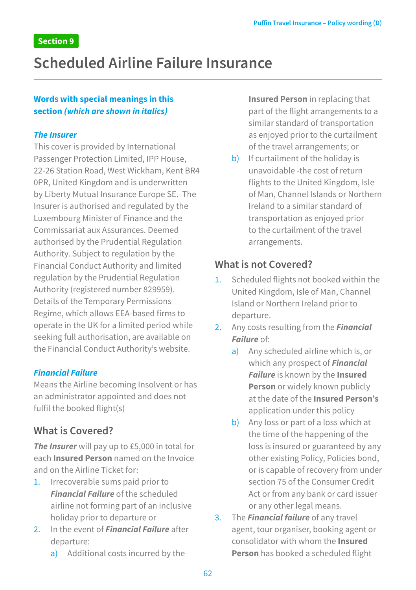## **Scheduled Airline Failure Insurance**

#### **Words with special meanings in this section** *(which are shown in italics)*

#### *The Insurer*

This cover is provided by International Passenger Protection Limited, IPP House, 22-26 Station Road, West Wickham, Kent BR4 0PR, United Kingdom and is underwritten by Liberty Mutual Insurance Europe SE. The Insurer is authorised and regulated by the Luxembourg Minister of Finance and the Commissariat aux Assurances. Deemed authorised by the Prudential Regulation Authority. Subject to regulation by the Financial Conduct Authority and limited regulation by the Prudential Regulation Authority (registered number 829959). Details of the Temporary Permissions Regime, which allows EEA-based firms to operate in the UK for a limited period while seeking full authorisation, are available on the Financial Conduct Authority's website.

#### *Financial Failure*

Means the Airline becoming Insolvent or has an administrator appointed and does not fulfil the booked flight(s)

## **What is Covered?**

*The Insurer* will pay up to £5,000 in total for each **Insured Person** named on the Invoice and on the Airline Ticket for:

- 1. Irrecoverable sums paid prior to *Financial Failure* of the scheduled airline not forming part of an inclusive holiday prior to departure or
- 2. In the event of *Financial Failure* after departure:
	- a) Additional costs incurred by the

**Insured Person** in replacing that part of the flight arrangements to a similar standard of transportation as enjoyed prior to the curtailment of the travel arrangements; or

b) If curtailment of the holiday is unavoidable -the cost of return flights to the United Kingdom, Isle of Man, Channel Islands or Northern Ireland to a similar standard of transportation as enjoyed prior to the curtailment of the travel arrangements.

## **What is not Covered?**

- 1. Scheduled flights not booked within the United Kingdom, Isle of Man, Channel Island or Northern Ireland prior to departure.
- 2. Any costs resulting from the *Financial Failure* of:
	- a) Any scheduled airline which is, or which any prospect of *Financial Failure* is known by the **Insured Person** or widely known publicly at the date of the **Insured Person's** application under this policy
	- b) Any loss or part of a loss which at the time of the happening of the loss is insured or guaranteed by any other existing Policy, Policies bond, or is capable of recovery from under section 75 of the Consumer Credit Act or from any bank or card issuer or any other legal means.
- 3. The *Financial failure* of any travel agent, tour organiser, booking agent or consolidator with whom the **Insured Person** has booked a scheduled flight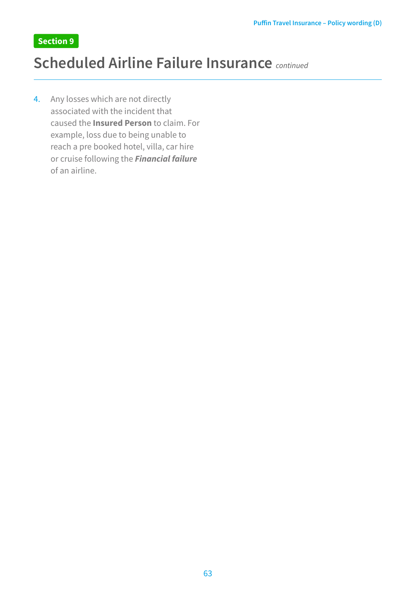## **Scheduled Airline Failure Insurance** *continued*

4. Any losses which are not directly associated with the incident that caused the **Insured Person** to claim. For example, loss due to being unable to reach a pre booked hotel, villa, car hire or cruise following the *Financial failure* of an airline.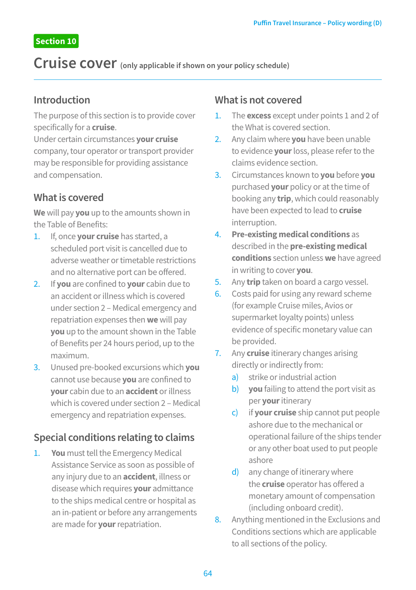**Cruise cover (only applicable if shown on your policy schedule)** 

### **Introduction**

The purpose of this section is to provide cover specifically for a **cruise**.

Under certain circumstances **your cruise**  company, tour operator or transport provider may be responsible for providing assistance and compensation.

## **What is covered**

**We** will pay **you** up to the amounts shown in the Table of Benefits:

- 1. If, once **your cruise** has started, a scheduled port visit is cancelled due to adverse weather or timetable restrictions and no alternative port can be offered.
- 2. If **you** are confined to **your** cabin due to an accident or illness which is covered under section 2 – Medical emergency and repatriation expenses then **we** will pay **you** up to the amount shown in the Table of Benefits per 24 hours period, up to the maximum.
- 3. Unused pre-booked excursions which **you**  cannot use because **you** are confined to **your** cabin due to an **accident** or illness which is covered under section 2 – Medical emergency and repatriation expenses.

## **Special conditions relating to claims**

1. **You** must tell the Emergency Medical Assistance Service as soon as possible of any injury due to an **accident**, illness or disease which requires **your** admittance to the ships medical centre or hospital as an in-patient or before any arrangements are made for **your** repatriation.

### **What is not covered**

- 1. The **excess** except under points 1 and 2 of the What is covered section.
- 2. Any claim where **you** have been unable to evidence **your** loss, please refer to the claims evidence section.
- 3. Circumstances known to **you** before **you**  purchased **your** policy or at the time of booking any **trip**, which could reasonably have been expected to lead to **cruise**  interruption.
- 4. **Pre-existing medical conditions** as described in the **pre-existing medical conditions** section unless **we** have agreed in writing to cover **you**.
- 5. Any **trip** taken on board a cargo vessel.
- 6. Costs paid for using any reward scheme (for example Cruise miles, Avios or supermarket loyalty points) unless evidence of specific monetary value can be provided.
- 7. Any **cruise** itinerary changes arising directly or indirectly from:
	- a) strike or industrial action
	- b) **you** failing to attend the port visit as per **your** itinerary
	- c) if **your cruise** ship cannot put people ashore due to the mechanical or operational failure of the ships tender or any other boat used to put people ashore
	- d) any change of itinerary where the **cruise** operator has offered a monetary amount of compensation (including onboard credit).
- 8. Anything mentioned in the Exclusions and Conditions sections which are applicable to all sections of the policy.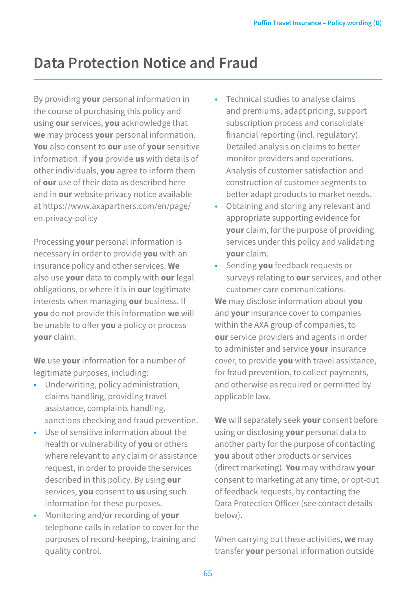## **Data Protection Notice and Fraud**

By providing **your** personal information in the course of purchasing this policy and using **our** services, **you** acknowledge that **we** may process **your** personal information. **You** also consent to **our** use of **your** sensitive information. If **you** provide **us** with details of other individuals, **you** agree to inform them of **our** use of their data as described here and in **our** website privacy notice available at [https://www.axapartners.com/en/page/](https://www.axapartners.com/en/page/en.privacy-policy) [en.privacy-policy](https://www.axapartners.com/en/page/en.privacy-policy)

Processing **your** personal information is necessary in order to provide **you** with an insurance policy and other services. **We** also use **your** data to comply with **our** legal obligations, or where it is in **our** legitimate interests when managing **our** business. If **you** do not provide this information **we** will be unable to offer **you** a policy or process **your** claim.

**We** use **your** information for a number of legitimate purposes, including:

- Underwriting, policy administration, claims handling, providing travel assistance, complaints handling, sanctions checking and fraud prevention.
- Use of sensitive information about the health or vulnerability of **you** or others where relevant to any claim or assistance request, in order to provide the services described in this policy. By using **our** services, **you** consent to **us** using such information for these purposes.
- Monitoring and/or recording of **your** telephone calls in relation to cover for the purposes of record-keeping, training and quality control.
- Technical studies to analyse claims and premiums, adapt pricing, support subscription process and consolidate financial reporting (incl. regulatory). Detailed analysis on claims to better monitor providers and operations. Analysis of customer satisfaction and construction of customer segments to better adapt products to market needs.
- Obtaining and storing any relevant and appropriate supporting evidence for **your** claim, for the purpose of providing services under this policy and validating **your** claim.
- Sending **you** feedback requests or surveys relating to **our** services, and other customer care communications. **We** may disclose information about **you** and **your** insurance cover to companies within the AXA group of companies, to **our** service providers and agents in order to administer and service **your** insurance cover, to provide **you** with travel assistance, for fraud prevention, to collect payments, and otherwise as required or permitted by applicable law.

**We** will separately seek **your** consent before using or disclosing **your** personal data to another party for the purpose of contacting **you** about other products or services (direct marketing). **You** may withdraw **your** consent to marketing at any time, or opt-out of feedback requests, by contacting the Data Protection Officer (see contact details below).

When carrying out these activities, **we** may transfer **your** personal information outside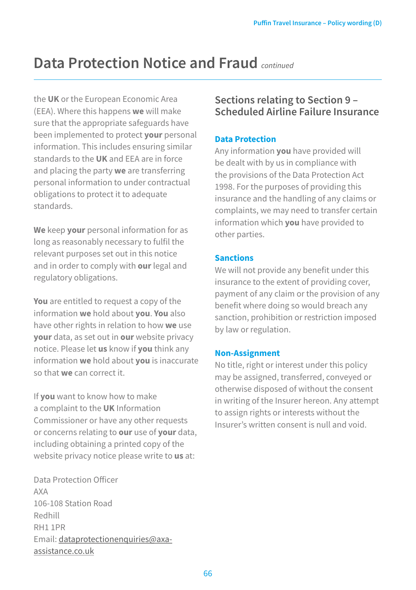## **Data Protection Notice and Fraud** *continued*

the **UK** or the European Economic Area (EEA). Where this happens **we** will make sure that the appropriate safeguards have been implemented to protect **your** personal information. This includes ensuring similar standards to the **UK** and EEA are in force and placing the party **we** are transferring personal information to under contractual obligations to protect it to adequate standards.

**We** keep **your** personal information for as long as reasonably necessary to fulfil the relevant purposes set out in this notice and in order to comply with **our** legal and regulatory obligations.

**You** are entitled to request a copy of the information **we** hold about **you**. **You** also have other rights in relation to how **we** use **your** data, as set out in **our** website privacy notice. Please let **us** know if **you** think any information **we** hold about **you** is inaccurate so that **we** can correct it.

If **you** want to know how to make a complaint to the **UK** Information Commissioner or have any other requests or concerns relating to **our** use of **your** data, including obtaining a printed copy of the website privacy notice please write to **us** at:

Data Protection Officer AXA 106-108 Station Road Redhill RH1 1PR Email: [dataprotectionenquiries@axa](mailto:dataprotectionenquiries@axa-assistance.co.uk)[assistance.co.uk](mailto:dataprotectionenquiries@axa-assistance.co.uk)

## **Sections relating to Section 9 – Scheduled Airline Failure Insurance**

#### **Data Protection**

Any information **you** have provided will be dealt with by us in compliance with the provisions of the Data Protection Act 1998. For the purposes of providing this insurance and the handling of any claims or complaints, we may need to transfer certain information which **you** have provided to other parties.

#### **Sanctions**

We will not provide any benefit under this insurance to the extent of providing cover, payment of any claim or the provision of any benefit where doing so would breach any sanction, prohibition or restriction imposed by law or regulation.

#### **Non-Assignment**

No title, right or interest under this policy may be assigned, transferred, conveyed or otherwise disposed of without the consent in writing of the Insurer hereon. Any attempt to assign rights or interests without the Insurer's written consent is null and void.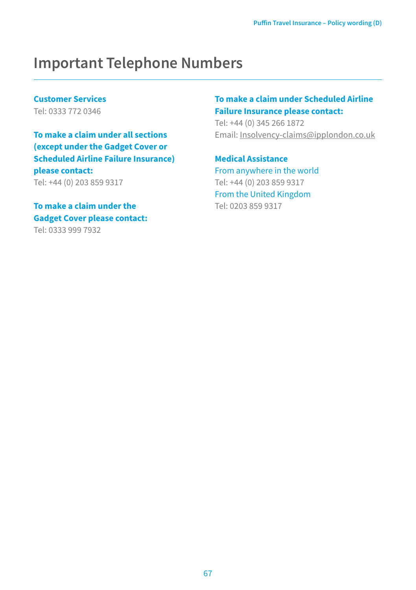## **Important Telephone Numbers**

**Customer Services**  Tel: 0333 772 0346

**To make a claim under all sections (except under the Gadget Cover or Scheduled Airline Failure Insurance) please contact:**  Tel: +44 (0) 203 859 9317

**To make a claim under the Gadget Cover please contact:** Tel: 0333 999 7932

#### **To make a claim under Scheduled Airline Failure Insurance please contact:**

Tel: +44 (0) 345 266 1872 Email: [Insolvency-claims@ipplondon.co.uk](mailto:Insolvency-claims@ipplondon.co.uk)

**Medical Assistance**  From anywhere in the world Tel: +44 (0) 203 859 9317 From the United Kingdom Tel: 0203 859 9317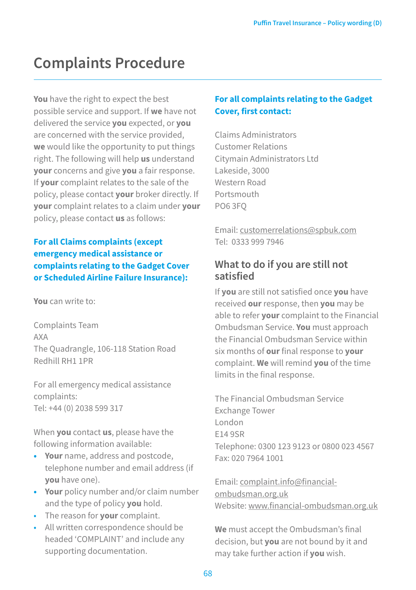## **Complaints Procedure**

**You** have the right to expect the best possible service and support. If **we** have not delivered the service **you** expected, or **you**  are concerned with the service provided, **we** would like the opportunity to put things right. The following will help **us** understand **your** concerns and give **you** a fair response. If **your** complaint relates to the sale of the policy, please contact **your** broker directly. If **your** complaint relates to a claim under **your**  policy, please contact **us** as follows:

#### **For all Claims complaints (except emergency medical assistance or complaints relating to the Gadget Cover or Scheduled Airline Failure Insurance):**

**You** can write to:

Complaints Team AXA The Quadrangle, 106-118 Station Road Redhill RH1 1PR

For all emergency medical assistance complaints: Tel: +44 (0) 2038 599 317

When **you** contact **us**, please have the following information available:

- **• Your** name, address and postcode, telephone number and email address (if **you** have one).
- **• Your** policy number and/or claim number and the type of policy **you** hold.
- The reason for **your** complaint.
- All written correspondence should be headed 'COMPLAINT' and include any supporting documentation.

### **For all complaints relating to the Gadget Cover, first contact:**

Claims Administrators Customer Relations Citymain Administrators Ltd Lakeside, 3000 Western Road Portsmouth PO6 3FQ

Email: customerrelations@spbuk.com Tel: 0333 999 7946

## **What to do if you are still not satisfied**

If **you** are still not satisfied once **you** have received **our** response, then **you** may be able to refer **your** complaint to the Financial Ombudsman Service. **You** must approach the Financial Ombudsman Service within six months of **our** final response to **your**  complaint. **We** will remind **you** of the time limits in the final response.

The Financial Ombudsman Service Exchange Tower London E14 9SR Telephone: 0300 123 9123 or 0800 023 4567 Fax: 020 7964 1001

Email: complaint.info@financialombudsman.org.uk Website: www.financial-ombudsman.org.uk

**We** must accept the Ombudsman's final decision, but **you** are not bound by it and may take further action if **you** wish.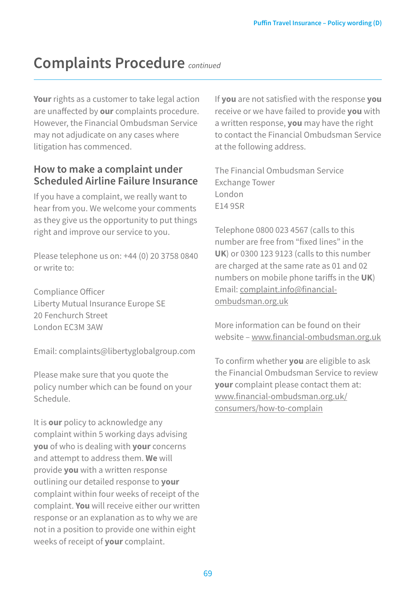## **Complaints Procedure** *continued*

**Your** rights as a customer to take legal action are unaffected by **our** complaints procedure. However, the Financial Ombudsman Service may not adjudicate on any cases where litigation has commenced.

### **How to make a complaint under Scheduled Airline Failure Insurance**

If you have a complaint, we really want to hear from you. We welcome your comments as they give us the opportunity to put things right and improve our service to you.

Please telephone us on: +44 (0) 20 3758 0840 or write to:

Compliance Officer Liberty Mutual Insurance Europe SE 20 Fenchurch Street London EC3M 3AW

Email: complaints@libertyglobalgroup.com

Please make sure that you quote the policy number which can be found on your Schedule.

It is **our** policy to acknowledge any complaint within 5 working days advising **you** of who is dealing with **your** concerns and attempt to address them. **We** will provide **you** with a written response outlining our detailed response to **your** complaint within four weeks of receipt of the complaint. **You** will receive either our written response or an explanation as to why we are not in a position to provide one within eight weeks of receipt of **your** complaint.

If **you** are not satisfied with the response **you** receive or we have failed to provide **you** with a written response, **you** may have the right to contact the Financial Ombudsman Service at the following address.

The Financial Ombudsman Service Exchange Tower London E14 9SR

Telephone 0800 023 4567 (calls to this number are free from "fixed lines" in the **UK**) or 0300 123 9123 (calls to this number are charged at the same rate as 01 and 02 numbers on mobile phone tariffs in the **UK**) Email: complaint.info@financialombudsman.org.uk

More information can be found on their website – [www.financial-ombudsman.org.uk](http://www.financial-ombudsman.org.uk)

To confirm whether **you** are eligible to ask the Financial Ombudsman Service to review **your** complaint please contact them at: [www.financial-ombudsman.org.uk/](http://www.financial-ombudsman.org.uk/consumers/how-to-complain) [consumers/how-to-complain](http://www.financial-ombudsman.org.uk/consumers/how-to-complain)